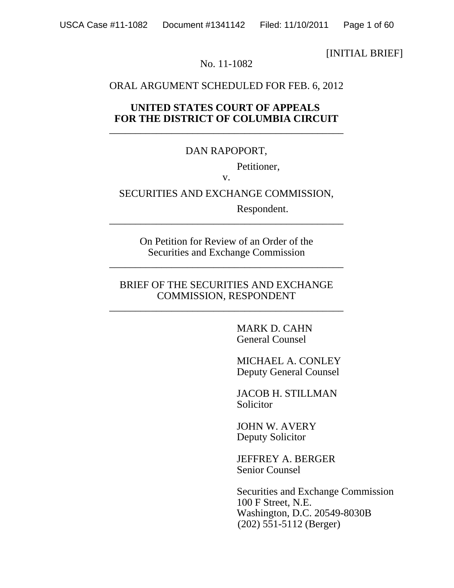[INITIAL BRIEF]

#### No. 11-1082

#### ORAL ARGUMENT SCHEDULED FOR FEB. 6, 2012

#### **UNITED STATES COURT OF APPEALS FOR THE DISTRICT OF COLUMBIA CIRCUIT** \_\_\_\_\_\_\_\_\_\_\_\_\_\_\_\_\_\_\_\_\_\_\_\_\_\_\_\_\_\_\_\_\_\_\_\_\_\_\_\_\_\_\_\_\_

#### DAN RAPOPORT,

Petitioner,

v.

#### SECURITIES AND EXCHANGE COMMISSION,

Respondent.

On Petition for Review of an Order of the Securities and Exchange Commission

\_\_\_\_\_\_\_\_\_\_\_\_\_\_\_\_\_\_\_\_\_\_\_\_\_\_\_\_\_\_\_\_\_\_\_\_\_\_\_\_\_\_\_\_\_

\_\_\_\_\_\_\_\_\_\_\_\_\_\_\_\_\_\_\_\_\_\_\_\_\_\_\_\_\_\_\_\_\_\_\_\_\_\_\_\_\_\_\_\_\_

#### BRIEF OF THE SECURITIES AND EXCHANGE COMMISSION, RESPONDENT

\_\_\_\_\_\_\_\_\_\_\_\_\_\_\_\_\_\_\_\_\_\_\_\_\_\_\_\_\_\_\_\_\_\_\_\_\_\_\_\_\_\_\_\_\_

MARK D. CAHN General Counsel

MICHAEL A. CONLEY Deputy General Counsel

JACOB H. STILLMAN Solicitor

JOHN W. AVERY Deputy Solicitor

JEFFREY A. BERGER Senior Counsel

 Securities and Exchange Commission 100 F Street, N.E. Washington, D.C. 20549-8030B (202) 551-5112 (Berger)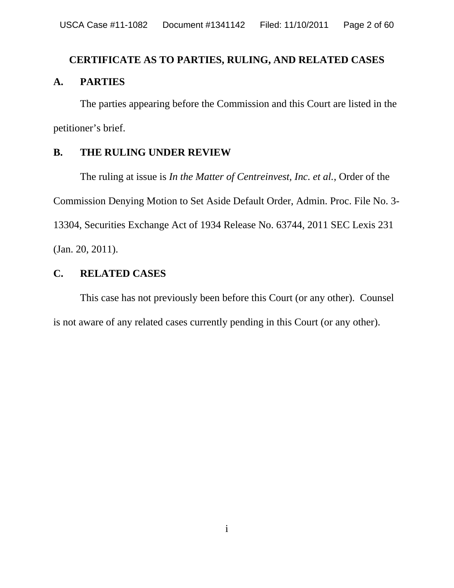# **CERTIFICATE AS TO PARTIES, RULING, AND RELATED CASES A. PARTIES**

The parties appearing before the Commission and this Court are listed in the petitioner's brief.

# **B. THE RULING UNDER REVIEW**

The ruling at issue is *In the Matter of Centreinvest, Inc. et al.*, Order of the Commission Denying Motion to Set Aside Default Order, Admin. Proc. File No. 3- 13304, Securities Exchange Act of 1934 Release No. 63744, 2011 SEC Lexis 231 (Jan. 20, 2011).

# **C. RELATED CASES**

This case has not previously been before this Court (or any other). Counsel is not aware of any related cases currently pending in this Court (or any other).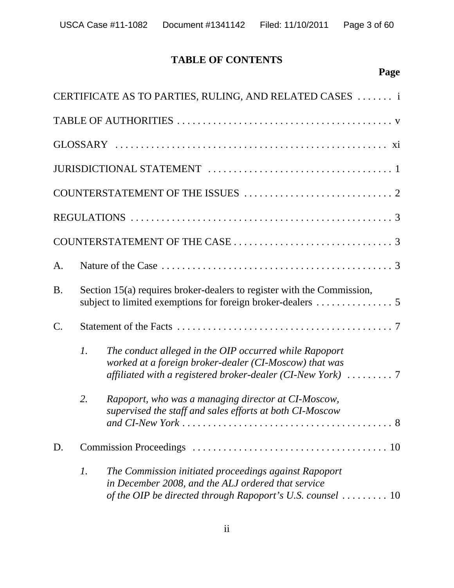# **TABLE OF CONTENTS**

|                 |                                                                        | CERTIFICATE AS TO PARTIES, RULING, AND RELATED CASES  i                                                                                                                                      |  |  |  |  |  |  |  |
|-----------------|------------------------------------------------------------------------|----------------------------------------------------------------------------------------------------------------------------------------------------------------------------------------------|--|--|--|--|--|--|--|
|                 |                                                                        |                                                                                                                                                                                              |  |  |  |  |  |  |  |
|                 |                                                                        |                                                                                                                                                                                              |  |  |  |  |  |  |  |
|                 |                                                                        |                                                                                                                                                                                              |  |  |  |  |  |  |  |
|                 |                                                                        |                                                                                                                                                                                              |  |  |  |  |  |  |  |
|                 |                                                                        |                                                                                                                                                                                              |  |  |  |  |  |  |  |
|                 |                                                                        |                                                                                                                                                                                              |  |  |  |  |  |  |  |
| A.              |                                                                        |                                                                                                                                                                                              |  |  |  |  |  |  |  |
| <b>B.</b>       | Section 15(a) requires broker-dealers to register with the Commission, |                                                                                                                                                                                              |  |  |  |  |  |  |  |
| $\mathcal{C}$ . |                                                                        |                                                                                                                                                                                              |  |  |  |  |  |  |  |
|                 | $\mathcal{I}$ .                                                        | The conduct alleged in the OIP occurred while Rapoport<br>worked at a foreign broker-dealer (CI-Moscow) that was<br>affiliated with a registered broker-dealer (CI-New York) 7               |  |  |  |  |  |  |  |
|                 | 2.                                                                     | Rapoport, who was a managing director at CI-Moscow,<br>supervised the staff and sales efforts at both CI-Moscow<br>8                                                                         |  |  |  |  |  |  |  |
| D.              |                                                                        |                                                                                                                                                                                              |  |  |  |  |  |  |  |
|                 | $\mathfrak{1}.$                                                        | The Commission initiated proceedings against Rapoport<br>in December 2008, and the ALJ ordered that service<br>of the OIP be directed through Rapoport's U.S. counsel $\dots \dots \dots 10$ |  |  |  |  |  |  |  |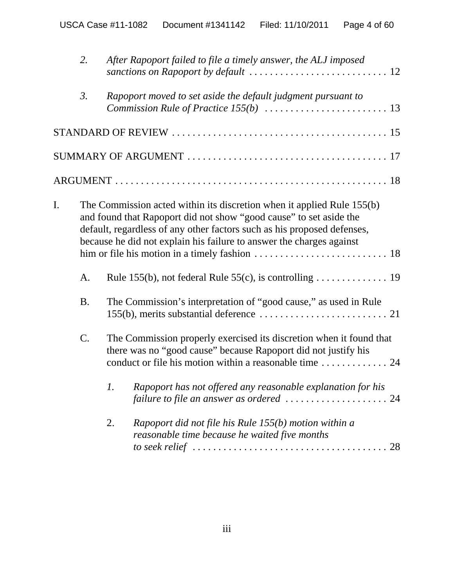|    | 2.               | After Rapoport failed to file a timely answer, the ALJ imposed                                                                                                                                                                                                                                  |
|----|------------------|-------------------------------------------------------------------------------------------------------------------------------------------------------------------------------------------------------------------------------------------------------------------------------------------------|
|    | $\mathfrak{Z}$ . | Rapoport moved to set aside the default judgment pursuant to<br><i>Commission Rule of Practice 155(b)</i> $\ldots \ldots \ldots \ldots \ldots \ldots \ldots 13$                                                                                                                                 |
|    |                  |                                                                                                                                                                                                                                                                                                 |
|    |                  |                                                                                                                                                                                                                                                                                                 |
|    |                  |                                                                                                                                                                                                                                                                                                 |
| I. |                  | The Commission acted within its discretion when it applied Rule 155(b)<br>and found that Rapoport did not show "good cause" to set aside the<br>default, regardless of any other factors such as his proposed defenses,<br>because he did not explain his failure to answer the charges against |
|    | A.               |                                                                                                                                                                                                                                                                                                 |
|    | <b>B.</b>        | The Commission's interpretation of "good cause," as used in Rule                                                                                                                                                                                                                                |
|    | C.               | The Commission properly exercised its discretion when it found that<br>there was no "good cause" because Rapoport did not justify his<br>conduct or file his motion within a reasonable time  24                                                                                                |
|    |                  | 1. Rapoport has not offered any reasonable explanation for his<br>failure to file an answer as ordered $\ldots \ldots \ldots \ldots \ldots \ldots 24$                                                                                                                                           |
|    |                  | Rapoport did not file his Rule 155(b) motion within a<br>2.<br>reasonable time because he waited five months<br>to seek relief $\ldots \ldots \ldots \ldots \ldots \ldots \ldots \ldots \ldots \ldots \ldots \ldots 28$                                                                         |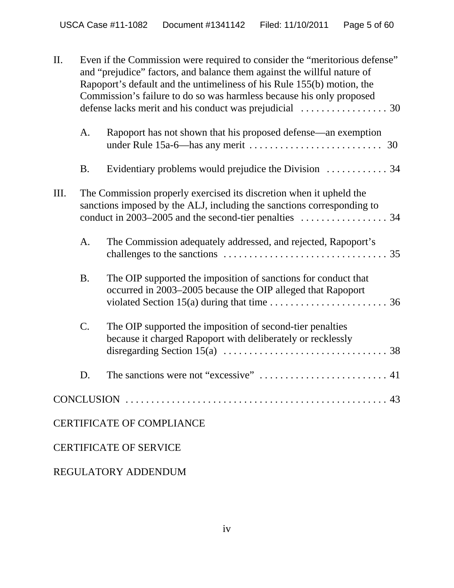| II. | Even if the Commission were required to consider the "meritorious defense"<br>and "prejudice" factors, and balance them against the willful nature of<br>Rapoport's default and the untimeliness of his Rule 155(b) motion, the<br>Commission's failure to do so was harmless because his only proposed |                                                                                                                                                                                                                                        |  |  |  |  |  |  |  |
|-----|---------------------------------------------------------------------------------------------------------------------------------------------------------------------------------------------------------------------------------------------------------------------------------------------------------|----------------------------------------------------------------------------------------------------------------------------------------------------------------------------------------------------------------------------------------|--|--|--|--|--|--|--|
|     | A.                                                                                                                                                                                                                                                                                                      | Rapoport has not shown that his proposed defense—an exemption                                                                                                                                                                          |  |  |  |  |  |  |  |
|     | <b>B.</b>                                                                                                                                                                                                                                                                                               |                                                                                                                                                                                                                                        |  |  |  |  |  |  |  |
| Ш.  |                                                                                                                                                                                                                                                                                                         | The Commission properly exercised its discretion when it upheld the<br>sanctions imposed by the ALJ, including the sanctions corresponding to<br>conduct in 2003–2005 and the second-tier penalties $\dots \dots \dots \dots \dots$ 34 |  |  |  |  |  |  |  |
|     | A.                                                                                                                                                                                                                                                                                                      | The Commission adequately addressed, and rejected, Rapoport's                                                                                                                                                                          |  |  |  |  |  |  |  |
|     | <b>B.</b>                                                                                                                                                                                                                                                                                               | The OIP supported the imposition of sanctions for conduct that<br>occurred in 2003-2005 because the OIP alleged that Rapoport<br>violated Section 15(a) during that time $\dots \dots \dots \dots \dots \dots \dots \dots$ 36          |  |  |  |  |  |  |  |
|     | C.                                                                                                                                                                                                                                                                                                      | The OIP supported the imposition of second-tier penalties<br>because it charged Rapoport with deliberately or recklessly                                                                                                               |  |  |  |  |  |  |  |
|     | D.                                                                                                                                                                                                                                                                                                      |                                                                                                                                                                                                                                        |  |  |  |  |  |  |  |
|     |                                                                                                                                                                                                                                                                                                         |                                                                                                                                                                                                                                        |  |  |  |  |  |  |  |
|     |                                                                                                                                                                                                                                                                                                         | <b>CERTIFICATE OF COMPLIANCE</b>                                                                                                                                                                                                       |  |  |  |  |  |  |  |
|     |                                                                                                                                                                                                                                                                                                         | <b>CERTIFICATE OF SERVICE</b>                                                                                                                                                                                                          |  |  |  |  |  |  |  |

# REGULATORY ADDENDUM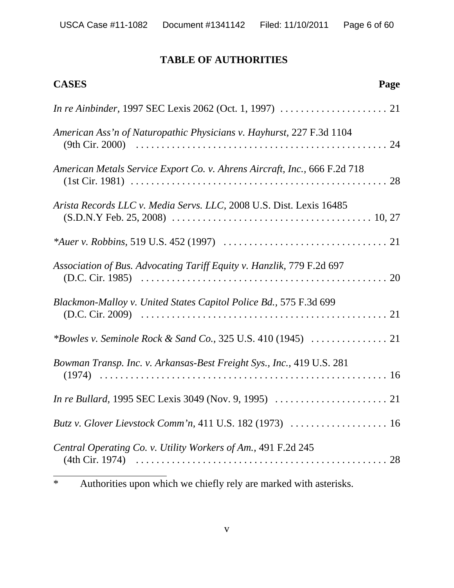# **TABLE OF AUTHORITIES**

| <b>CASES</b>                                                                                                   | Page |
|----------------------------------------------------------------------------------------------------------------|------|
|                                                                                                                |      |
| American Ass'n of Naturopathic Physicians v. Hayhurst, 227 F.3d 1104                                           |      |
| American Metals Service Export Co. v. Ahrens Aircraft, Inc., 666 F.2d 718                                      |      |
| Arista Records LLC v. Media Servs. LLC, 2008 U.S. Dist. Lexis 16485                                            |      |
|                                                                                                                |      |
| Association of Bus. Advocating Tariff Equity v. Hanzlik, 779 F.2d 697                                          |      |
| Blackmon-Malloy v. United States Capitol Police Bd., 575 F.3d 699                                              |      |
|                                                                                                                |      |
| Bowman Transp. Inc. v. Arkansas-Best Freight Sys., Inc., 419 U.S. 281                                          |      |
| <i>In re Bullard,</i> 1995 SEC Lexis 3049 (Nov. 9, 1995) $\ldots \ldots \ldots \ldots \ldots \ldots \ldots 21$ |      |
| Butz v. Glover Lievstock Comm'n, 411 U.S. 182 (1973)  16                                                       |      |
| Central Operating Co. v. Utility Workers of Am., 491 F.2d 245                                                  |      |

<sup>\*</sup> Authorities upon which we chiefly rely are marked with asterisks.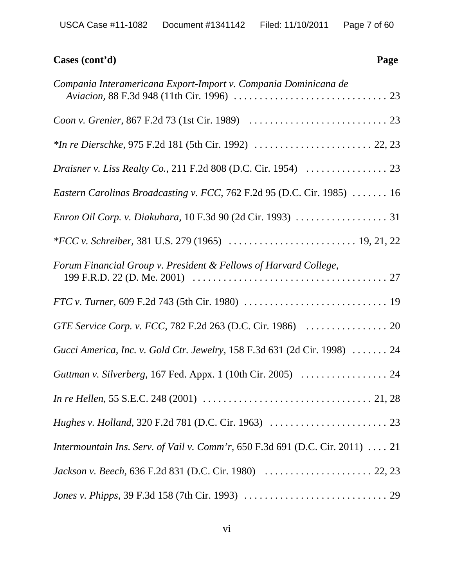| Cases (cont'd)<br>Page                                                                                                                 |
|----------------------------------------------------------------------------------------------------------------------------------------|
| Compania Interamericana Export-Import v. Compania Dominicana de                                                                        |
|                                                                                                                                        |
|                                                                                                                                        |
|                                                                                                                                        |
| Eastern Carolinas Broadcasting v. FCC, 762 F.2d 95 (D.C. Cir. 1985)  16                                                                |
|                                                                                                                                        |
|                                                                                                                                        |
| Forum Financial Group v. President & Fellows of Harvard College,                                                                       |
|                                                                                                                                        |
|                                                                                                                                        |
| Gucci America, Inc. v. Gold Ctr. Jewelry, 158 F.3d 631 (2d Cir. 1998)  24                                                              |
| Guttman v. Silverberg, 167 Fed. Appx. 1 (10th Cir. 2005)  24                                                                           |
| <i>In re Hellen,</i> 55 S.E.C. 248 (2001) $\ldots \ldots \ldots \ldots \ldots \ldots \ldots \ldots \ldots \ldots \ldots \ldots 21, 28$ |
|                                                                                                                                        |
| Intermountain Ins. Serv. of Vail v. Comm'r, 650 F.3d 691 (D.C. Cir. 2011)  21                                                          |
|                                                                                                                                        |
|                                                                                                                                        |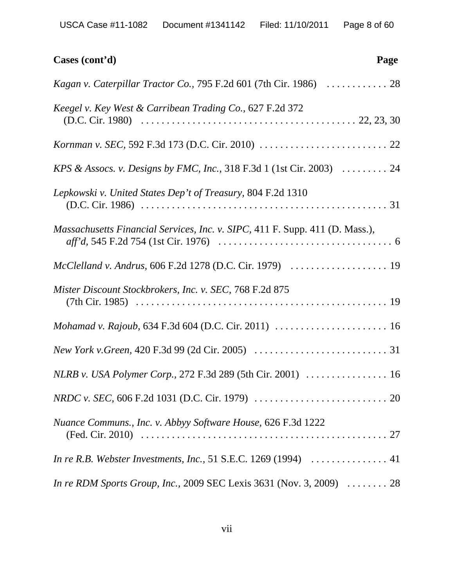| Cases (cont'd)<br>Page                                                       |
|------------------------------------------------------------------------------|
| Kagan v. Caterpillar Tractor Co., 795 F.2d 601 (7th Cir. 1986)  28           |
| Keegel v. Key West & Carribean Trading Co., 627 F.2d 372                     |
|                                                                              |
| KPS & Assocs. v. Designs by FMC, Inc., 318 F.3d 1 (1st Cir. 2003)  24        |
| Lepkowski v. United States Dep't of Treasury, 804 F.2d 1310                  |
| Massachusetts Financial Services, Inc. v. SIPC, 411 F. Supp. 411 (D. Mass.), |
| McClelland v. Andrus, 606 F.2d 1278 (D.C. Cir. 1979)  19                     |
| Mister Discount Stockbrokers, Inc. v. SEC, 768 F.2d 875                      |
| Mohamad v. Rajoub, 634 F.3d 604 (D.C. Cir. 2011)  16                         |
|                                                                              |
|                                                                              |
|                                                                              |
| Nuance Communs., Inc. v. Abbyy Software House, 626 F.3d 1222                 |
|                                                                              |
| <i>In re RDM Sports Group, Inc., 2009 SEC Lexis 3631 (Nov. 3, 2009)</i> 28   |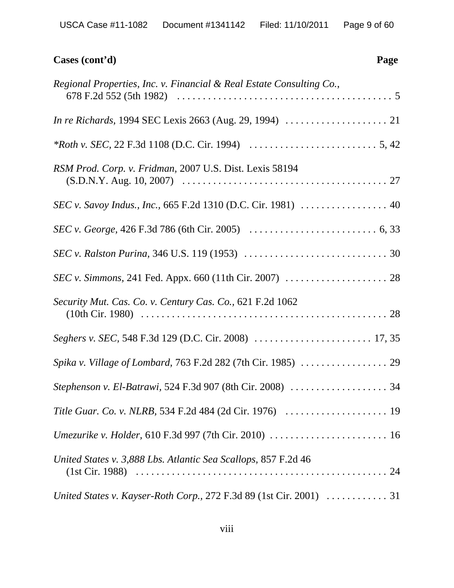| Cases (cont'd)<br>Page                                                                                       |
|--------------------------------------------------------------------------------------------------------------|
| Regional Properties, Inc. v. Financial & Real Estate Consulting Co.,                                         |
|                                                                                                              |
| <i>*Roth v. SEC</i> , 22 F.3d 1108 (D.C. Cir. 1994) $\ldots \ldots \ldots \ldots \ldots \ldots \ldots 5, 42$ |
| RSM Prod. Corp. v. Fridman, 2007 U.S. Dist. Lexis 58194                                                      |
|                                                                                                              |
|                                                                                                              |
|                                                                                                              |
|                                                                                                              |
| Security Mut. Cas. Co. v. Century Cas. Co., 621 F.2d 1062                                                    |
|                                                                                                              |
|                                                                                                              |
|                                                                                                              |
|                                                                                                              |
|                                                                                                              |
| United States v. 3,888 Lbs. Atlantic Sea Scallops, 857 F.2d 46                                               |
|                                                                                                              |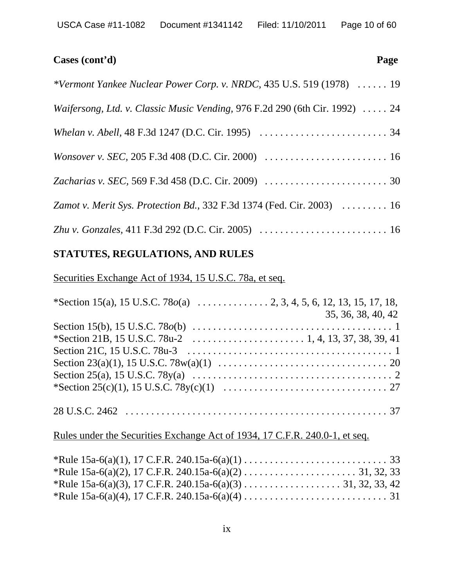# **Cases (cont'd) Page** *\*Vermont Yankee Nuclear Power Corp. v. NRDC,* 435 U.S. 519 (1978) . . . . . . 19 *Waifersong, Ltd. v. Classic Music Vending,* 976 F.2d 290 (6th Cir. 1992) . . . . . 24 *Whelan v. Abell,* 48 F.3d 1247 (D.C. Cir. 1995) . . . . . . . . . . . . . . . . . . . . . . . . . 34 *Wonsover v. SEC,* 205 F.3d 408 (D.C. Cir. 2000) . . . . . . . . . . . . . . . . . . . . . . . . 16 *Zacharias v. SEC,* 569 F.3d 458 (D.C. Cir. 2009) . . . . . . . . . . . . . . . . . . . . . . . . 30 *Zamot v. Merit Sys. Protection Bd.,* 332 F.3d 1374 (Fed. Cir. 2003) . . . . . . . . . 16

*Zhu v. Gonzales,* 411 F.3d 292 (D.C. Cir. 2005) . . . . . . . . . . . . . . . . . . . . . . . . . 16

# **STATUTES, REGULATIONS, AND RULES**

Securities Exchange Act of 1934, 15 U.S.C. 78a, et seq.

| 35, 36, 38, 40, 42 |
|--------------------|
|                    |
|                    |
|                    |
|                    |
|                    |
|                    |
|                    |

# Rules under the Securities Exchange Act of 1934, 17 C.F.R. 240.0-1, et seq.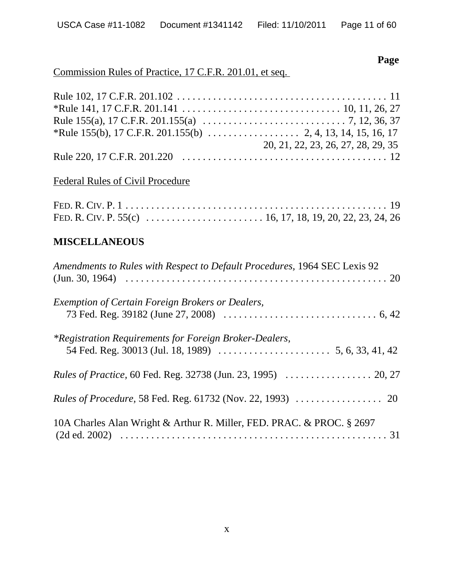**Page**

# Commission Rules of Practice, 17 C.F.R. 201.01, et seq.

| 20, 21, 22, 23, 26, 27, 28, 29, 35 |
|------------------------------------|
|                                    |

# Federal Rules of Civil Procedure

# **MISCELLANEOUS**

| Amendments to Rules with Respect to Default Procedures, 1964 SEC Lexis 92 |
|---------------------------------------------------------------------------|
| Exemption of Certain Foreign Brokers or Dealers,                          |
| *Registration Requirements for Foreign Broker-Dealers,                    |
| <i>Rules of Practice, 60 Fed. Reg. 32738 (Jun. 23, 1995) </i> 20, 27      |
|                                                                           |
| 10A Charles Alan Wright & Arthur R. Miller, FED. PRAC. & PROC. § 2697     |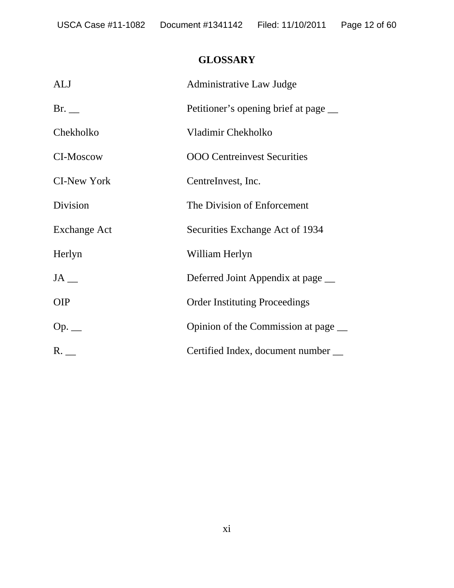# **GLOSSARY**

| <b>ALJ</b>          | <b>Administrative Law Judge</b>       |
|---------------------|---------------------------------------|
| Br.                 | Petitioner's opening brief at page __ |
| Chekholko           | Vladimir Chekholko                    |
| <b>CI-Moscow</b>    | <b>OOO</b> Centreinvest Securities    |
| <b>CI-New York</b>  | CentreInvest, Inc.                    |
| Division            | The Division of Enforcement           |
| <b>Exchange Act</b> | Securities Exchange Act of 1934       |
| Herlyn              | William Herlyn                        |
|                     | Deferred Joint Appendix at page __    |
| <b>OIP</b>          | <b>Order Instituting Proceedings</b>  |
| $Op.$ __            | Opinion of the Commission at page __  |
| $R_{-}$             | Certified Index, document number __   |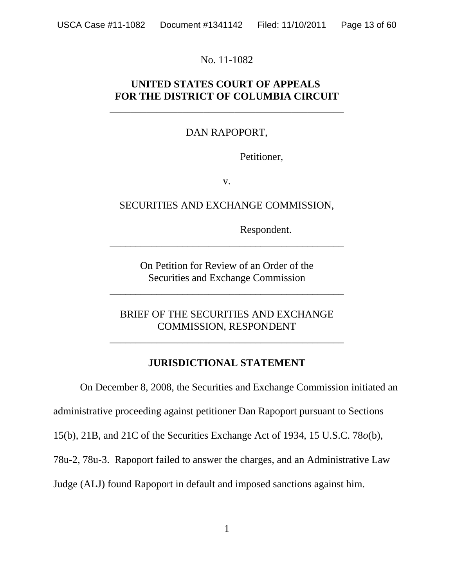No. 11-1082

# **UNITED STATES COURT OF APPEALS FOR THE DISTRICT OF COLUMBIA CIRCUIT**

\_\_\_\_\_\_\_\_\_\_\_\_\_\_\_\_\_\_\_\_\_\_\_\_\_\_\_\_\_\_\_\_\_\_\_\_\_\_\_\_\_\_\_\_\_

# DAN RAPOPORT,

Petitioner,

v.

SECURITIES AND EXCHANGE COMMISSION,

Respondent.

On Petition for Review of an Order of the Securities and Exchange Commission

\_\_\_\_\_\_\_\_\_\_\_\_\_\_\_\_\_\_\_\_\_\_\_\_\_\_\_\_\_\_\_\_\_\_\_\_\_\_\_\_\_\_\_\_\_

\_\_\_\_\_\_\_\_\_\_\_\_\_\_\_\_\_\_\_\_\_\_\_\_\_\_\_\_\_\_\_\_\_\_\_\_\_\_\_\_\_\_\_\_\_

BRIEF OF THE SECURITIES AND EXCHANGE COMMISSION, RESPONDENT

\_\_\_\_\_\_\_\_\_\_\_\_\_\_\_\_\_\_\_\_\_\_\_\_\_\_\_\_\_\_\_\_\_\_\_\_\_\_\_\_\_\_\_\_\_

# **JURISDICTIONAL STATEMENT**

On December 8, 2008, the Securities and Exchange Commission initiated an administrative proceeding against petitioner Dan Rapoport pursuant to Sections 15(b), 21B, and 21C of the Securities Exchange Act of 1934, 15 U.S.C. 78*o*(b), 78u-2, 78u-3. Rapoport failed to answer the charges, and an Administrative Law

Judge (ALJ) found Rapoport in default and imposed sanctions against him.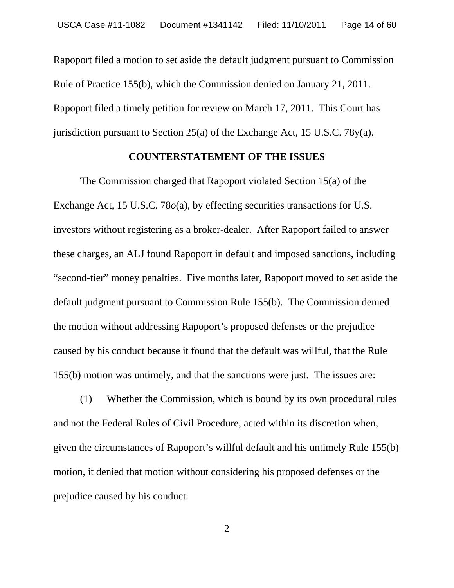Rapoport filed a motion to set aside the default judgment pursuant to Commission Rule of Practice 155(b), which the Commission denied on January 21, 2011. Rapoport filed a timely petition for review on March 17, 2011. This Court has jurisdiction pursuant to Section 25(a) of the Exchange Act, 15 U.S.C. 78y(a).

#### **COUNTERSTATEMENT OF THE ISSUES**

The Commission charged that Rapoport violated Section 15(a) of the Exchange Act, 15 U.S.C. 78*o*(a), by effecting securities transactions for U.S. investors without registering as a broker-dealer. After Rapoport failed to answer these charges, an ALJ found Rapoport in default and imposed sanctions, including "second-tier" money penalties. Five months later, Rapoport moved to set aside the default judgment pursuant to Commission Rule 155(b). The Commission denied the motion without addressing Rapoport's proposed defenses or the prejudice caused by his conduct because it found that the default was willful, that the Rule 155(b) motion was untimely, and that the sanctions were just. The issues are:

(1) Whether the Commission, which is bound by its own procedural rules and not the Federal Rules of Civil Procedure, acted within its discretion when, given the circumstances of Rapoport's willful default and his untimely Rule 155(b) motion, it denied that motion without considering his proposed defenses or the prejudice caused by his conduct.

2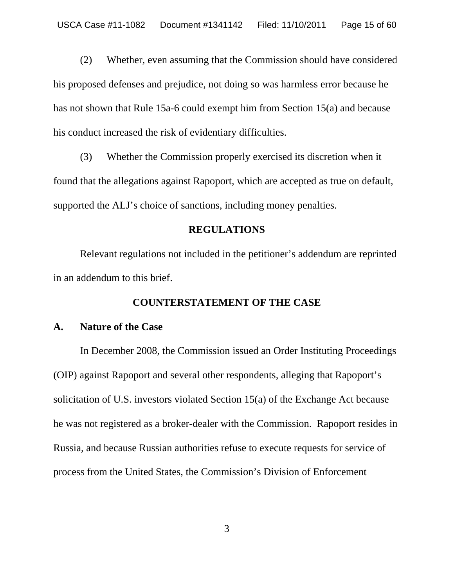(2) Whether, even assuming that the Commission should have considered his proposed defenses and prejudice, not doing so was harmless error because he has not shown that Rule 15a-6 could exempt him from Section 15(a) and because his conduct increased the risk of evidentiary difficulties.

(3) Whether the Commission properly exercised its discretion when it found that the allegations against Rapoport, which are accepted as true on default, supported the ALJ's choice of sanctions, including money penalties.

#### **REGULATIONS**

Relevant regulations not included in the petitioner's addendum are reprinted in an addendum to this brief.

#### **COUNTERSTATEMENT OF THE CASE**

#### **A. Nature of the Case**

In December 2008, the Commission issued an Order Instituting Proceedings (OIP) against Rapoport and several other respondents, alleging that Rapoport's solicitation of U.S. investors violated Section 15(a) of the Exchange Act because he was not registered as a broker-dealer with the Commission. Rapoport resides in Russia, and because Russian authorities refuse to execute requests for service of process from the United States, the Commission's Division of Enforcement

3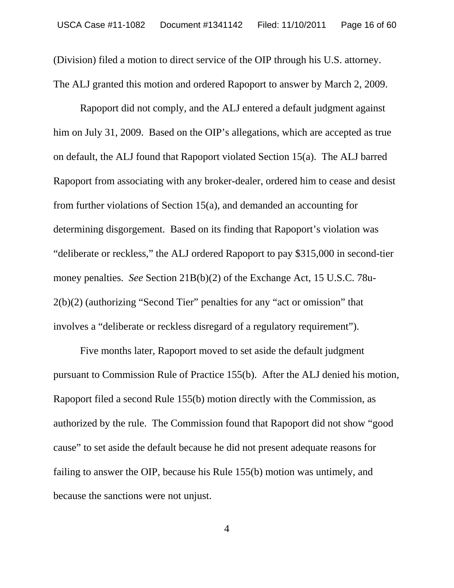(Division) filed a motion to direct service of the OIP through his U.S. attorney. The ALJ granted this motion and ordered Rapoport to answer by March 2, 2009.

 Rapoport did not comply, and the ALJ entered a default judgment against him on July 31, 2009. Based on the OIP's allegations, which are accepted as true on default, the ALJ found that Rapoport violated Section 15(a). The ALJ barred Rapoport from associating with any broker-dealer, ordered him to cease and desist from further violations of Section 15(a), and demanded an accounting for determining disgorgement. Based on its finding that Rapoport's violation was "deliberate or reckless," the ALJ ordered Rapoport to pay \$315,000 in second-tier money penalties. *See* Section 21B(b)(2) of the Exchange Act, 15 U.S.C. 78u-2(b)(2) (authorizing "Second Tier" penalties for any "act or omission" that involves a "deliberate or reckless disregard of a regulatory requirement").

Five months later, Rapoport moved to set aside the default judgment pursuant to Commission Rule of Practice 155(b). After the ALJ denied his motion, Rapoport filed a second Rule 155(b) motion directly with the Commission, as authorized by the rule. The Commission found that Rapoport did not show "good cause" to set aside the default because he did not present adequate reasons for failing to answer the OIP, because his Rule 155(b) motion was untimely, and because the sanctions were not unjust.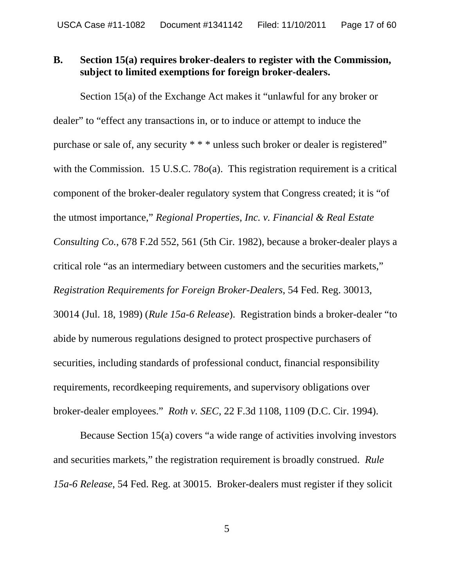# **B. Section 15(a) requires broker-dealers to register with the Commission, subject to limited exemptions for foreign broker-dealers.**

Section 15(a) of the Exchange Act makes it "unlawful for any broker or dealer" to "effect any transactions in, or to induce or attempt to induce the purchase or sale of, any security  $**$  \* unless such broker or dealer is registered" with the Commission. 15 U.S.C. 78 $o(a)$ . This registration requirement is a critical component of the broker-dealer regulatory system that Congress created; it is "of the utmost importance," *Regional Properties, Inc. v. Financial & Real Estate Consulting Co.*, 678 F.2d 552, 561 (5th Cir. 1982), because a broker-dealer plays a critical role "as an intermediary between customers and the securities markets," *Registration Requirements for Foreign Broker-Dealers*, 54 Fed. Reg. 30013, 30014 (Jul. 18, 1989) (*Rule 15a-6 Release*). Registration binds a broker-dealer "to abide by numerous regulations designed to protect prospective purchasers of securities, including standards of professional conduct, financial responsibility requirements, recordkeeping requirements, and supervisory obligations over broker-dealer employees." *Roth v. SEC*, 22 F.3d 1108, 1109 (D.C. Cir. 1994).

Because Section 15(a) covers "a wide range of activities involving investors and securities markets," the registration requirement is broadly construed. *Rule 15a-6 Release*, 54 Fed. Reg. at 30015. Broker-dealers must register if they solicit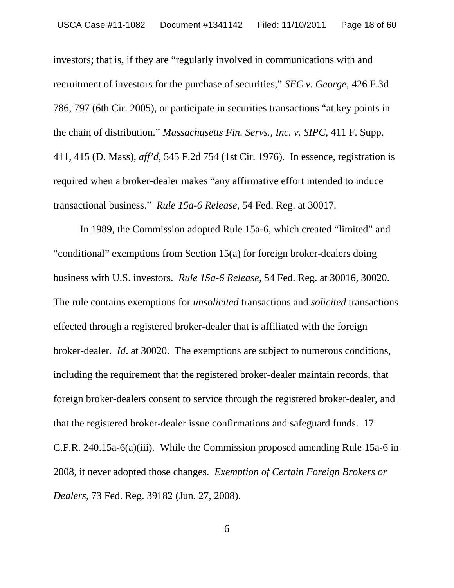investors; that is, if they are "regularly involved in communications with and recruitment of investors for the purchase of securities," *SEC v. George*, 426 F.3d 786, 797 (6th Cir. 2005), or participate in securities transactions "at key points in the chain of distribution." *Massachusetts Fin. Servs., Inc. v. SIPC*, 411 F. Supp. 411, 415 (D. Mass), *aff'd*, 545 F.2d 754 (1st Cir. 1976). In essence, registration is required when a broker-dealer makes "any affirmative effort intended to induce transactional business." *Rule 15a-6 Release*, 54 Fed. Reg. at 30017.

In 1989, the Commission adopted Rule 15a-6, which created "limited" and "conditional" exemptions from Section 15(a) for foreign broker-dealers doing business with U.S. investors. *Rule 15a-6 Release*, 54 Fed. Reg. at 30016, 30020. The rule contains exemptions for *unsolicited* transactions and *solicited* transactions effected through a registered broker-dealer that is affiliated with the foreign broker-dealer. *Id*. at 30020. The exemptions are subject to numerous conditions, including the requirement that the registered broker-dealer maintain records, that foreign broker-dealers consent to service through the registered broker-dealer, and that the registered broker-dealer issue confirmations and safeguard funds. 17 C.F.R. 240.15a-6(a)(iii). While the Commission proposed amending Rule 15a-6 in 2008, it never adopted those changes. *Exemption of Certain Foreign Brokers or Dealers*, 73 Fed. Reg. 39182 (Jun. 27, 2008).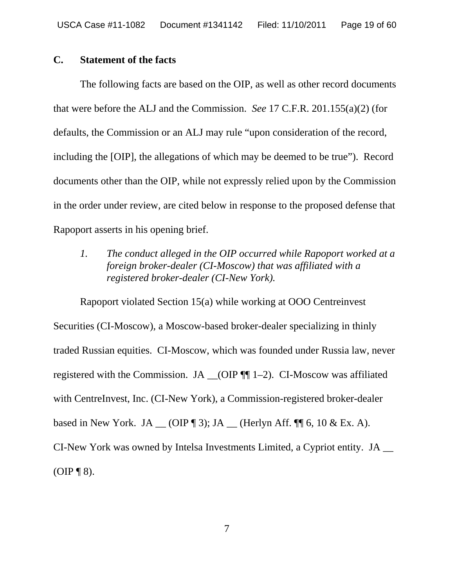#### **C. Statement of the facts**

The following facts are based on the OIP, as well as other record documents that were before the ALJ and the Commission. *See* 17 C.F.R. 201.155(a)(2) (for defaults, the Commission or an ALJ may rule "upon consideration of the record, including the [OIP], the allegations of which may be deemed to be true"). Record documents other than the OIP, while not expressly relied upon by the Commission in the order under review, are cited below in response to the proposed defense that Rapoport asserts in his opening brief.

*1. The conduct alleged in the OIP occurred while Rapoport worked at a foreign broker-dealer (CI-Moscow) that was affiliated with a registered broker-dealer (CI-New York).*

Rapoport violated Section 15(a) while working at OOO Centreinvest Securities (CI-Moscow), a Moscow-based broker-dealer specializing in thinly traded Russian equities. CI-Moscow, which was founded under Russia law, never registered with the Commission. JA \_\_(OIP ¶¶ 1–2). CI-Moscow was affiliated with CentreInvest, Inc. (CI-New York), a Commission-registered broker-dealer based in New York. JA  $\_\_$  (OIP ¶ 3); JA  $\_\_$  (Herlyn Aff. ¶ [6, 10 & Ex. A). CI-New York was owned by Intelsa Investments Limited, a Cypriot entity. JA \_\_  $(OIP \P 8)$ .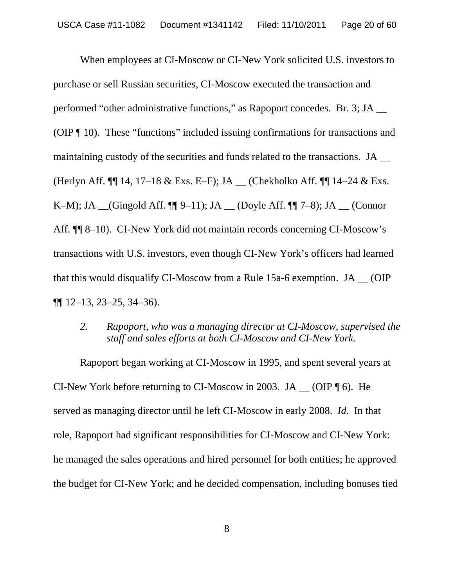When employees at CI-Moscow or CI-New York solicited U.S. investors to purchase or sell Russian securities, CI-Moscow executed the transaction and performed "other administrative functions," as Rapoport concedes. Br. 3; JA \_\_ (OIP ¶ 10). These "functions" included issuing confirmations for transactions and maintaining custody of the securities and funds related to the transactions. JA \_\_ (Herlyn Aff.  $\P$  14, 17–18 & Exs. E–F); JA \_\_ (Chekholko Aff.  $\P$  14–24 & Exs. K–M); JA  $_{\text{C}}$ (Gingold Aff.  $\P$ [9–11); JA  $_{\text{C}}$  (Doyle Aff.  $\P$ [7–8); JA  $_{\text{C}}$  (Connor Aff. ¶¶ 8–10). CI-New York did not maintain records concerning CI-Moscow's transactions with U.S. investors, even though CI-New York's officers had learned that this would disqualify CI-Moscow from a Rule 15a-6 exemption. JA \_\_ (OIP  $\P\P$  12–13, 23–25, 34–36).

*2. Rapoport, who was a managing director at CI-Moscow, supervised the staff and sales efforts at both CI-Moscow and CI-New York.*

Rapoport began working at CI-Moscow in 1995, and spent several years at CI-New York before returning to CI-Moscow in 2003. JA  $\_\_$  (OIP  $\P$  6). He served as managing director until he left CI-Moscow in early 2008. *Id*. In that role, Rapoport had significant responsibilities for CI-Moscow and CI-New York: he managed the sales operations and hired personnel for both entities; he approved the budget for CI-New York; and he decided compensation, including bonuses tied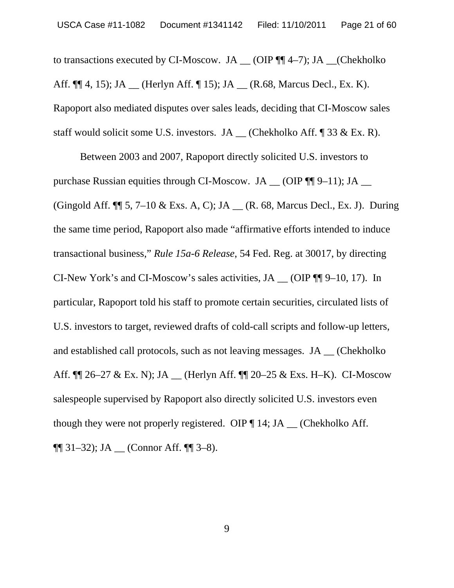to transactions executed by CI-Moscow. JA  $_{\_}$  (OIP ¶[[4–7); JA  $_{\_}$  (Chekholko Aff.  $\P\P$  4, 15); JA \_\_ (Herlyn Aff.  $\P$  15); JA \_\_ (R.68, Marcus Decl., Ex. K). Rapoport also mediated disputes over sales leads, deciding that CI-Moscow sales staff would solicit some U.S. investors. JA \_\_ (Chekholko Aff. ¶ 33 & Ex. R).

Between 2003 and 2007, Rapoport directly solicited U.S. investors to purchase Russian equities through CI-Moscow. JA \_\_ (OIP ¶¶ 9–11); JA \_\_ (Gingold Aff.  $\P$  5, 7–10 & Exs. A, C); JA \_\_ (R. 68, Marcus Decl., Ex. J). During the same time period, Rapoport also made "affirmative efforts intended to induce transactional business," *Rule 15a-6 Release*, 54 Fed. Reg. at 30017, by directing CI-New York's and CI-Moscow's sales activities, JA \_\_ (OIP ¶¶ 9–10, 17). In particular, Rapoport told his staff to promote certain securities, circulated lists of U.S. investors to target, reviewed drafts of cold-call scripts and follow-up letters, and established call protocols, such as not leaving messages. JA \_\_ (Chekholko Aff. ¶¶ 26–27 & Ex. N); JA \_\_ (Herlyn Aff. ¶¶ 20–25 & Exs. H–K). CI-Moscow salespeople supervised by Rapoport also directly solicited U.S. investors even though they were not properly registered. OIP  $\P$  14; JA  $\Box$  (Chekholko Aff.  $\P\P$  31–32); JA \_\_ (Connor Aff.  $\P\P$  3–8).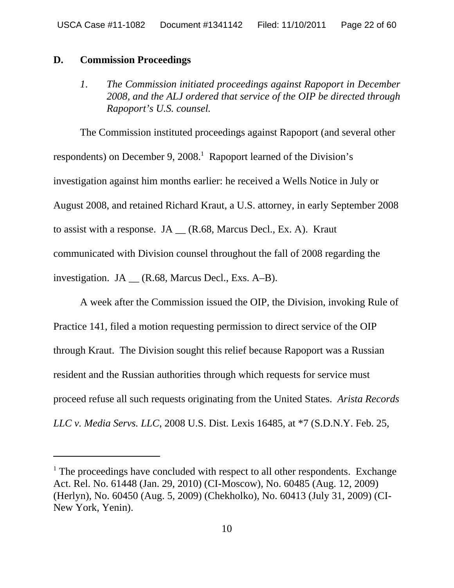#### **D. Commission Proceedings**

*1*. *The Commission initiated proceedings against Rapoport in December 2008, and the ALJ ordered that service of the OIP be directed through Rapoport's U.S. counsel.*

The Commission instituted proceedings against Rapoport (and several other respondents) on December 9, 2008.<sup>1</sup> Rapoport learned of the Division's investigation against him months earlier: he received a Wells Notice in July or August 2008, and retained Richard Kraut, a U.S. attorney, in early September 2008 to assist with a response. JA  $\_\ (R.68, \text{ Marcus Decl.}, \text{Ex. A})$ . Kraut communicated with Division counsel throughout the fall of 2008 regarding the investigation. JA \_\_ (R.68, Marcus Decl., Exs. A–B).

A week after the Commission issued the OIP, the Division, invoking Rule of Practice 141, filed a motion requesting permission to direct service of the OIP through Kraut. The Division sought this relief because Rapoport was a Russian resident and the Russian authorities through which requests for service must proceed refuse all such requests originating from the United States. *Arista Records LLC v. Media Servs. LLC*, 2008 U.S. Dist. Lexis 16485, at \*7 (S.D.N.Y. Feb. 25,

<sup>&</sup>lt;sup>1</sup> The proceedings have concluded with respect to all other respondents. Exchange Act. Rel. No. 61448 (Jan. 29, 2010) (CI-Moscow), No. 60485 (Aug. 12, 2009) (Herlyn), No. 60450 (Aug. 5, 2009) (Chekholko), No. 60413 (July 31, 2009) (CI-New York, Yenin).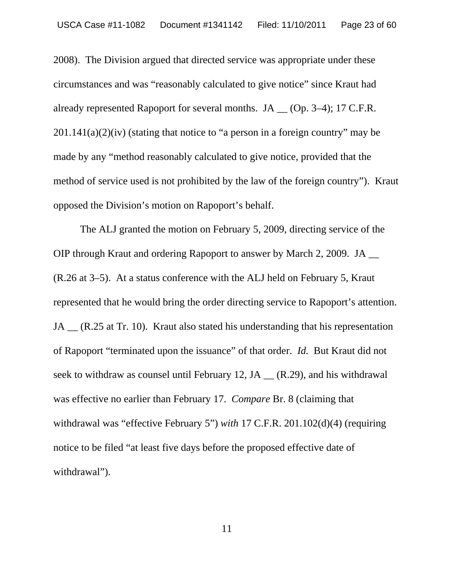2008). The Division argued that directed service was appropriate under these circumstances and was "reasonably calculated to give notice" since Kraut had already represented Rapoport for several months. JA \_\_ (Op. 3–4); 17 C.F.R.  $201.141(a)(2)(iv)$  (stating that notice to "a person in a foreign country" may be made by any "method reasonably calculated to give notice, provided that the method of service used is not prohibited by the law of the foreign country"). Kraut opposed the Division's motion on Rapoport's behalf.

The ALJ granted the motion on February 5, 2009, directing service of the OIP through Kraut and ordering Rapoport to answer by March 2, 2009. JA \_\_ (R.26 at 3–5). At a status conference with the ALJ held on February 5, Kraut represented that he would bring the order directing service to Rapoport's attention. JA (R.25 at Tr. 10). Kraut also stated his understanding that his representation of Rapoport "terminated upon the issuance" of that order. *Id.* But Kraut did not seek to withdraw as counsel until February 12, JA \_\_ (R.29), and his withdrawal was effective no earlier than February 17. *Compare* Br. 8 (claiming that withdrawal was "effective February 5") *with* 17 C.F.R. 201.102(d)(4) (requiring notice to be filed "at least five days before the proposed effective date of withdrawal").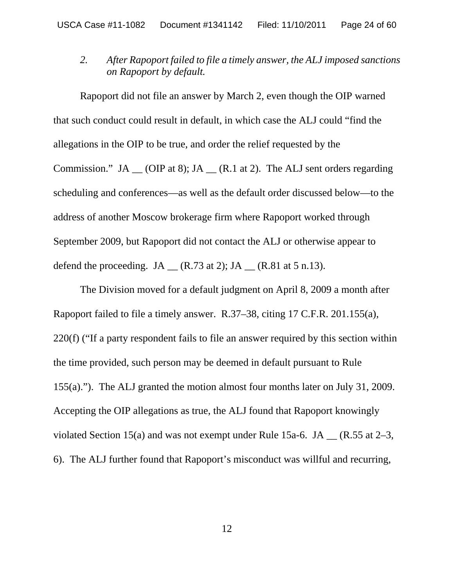*2. After Rapoport failed to file a timely answer, the ALJ imposed sanctions on Rapoport by default.*

Rapoport did not file an answer by March 2, even though the OIP warned that such conduct could result in default, in which case the ALJ could "find the allegations in the OIP to be true, and order the relief requested by the Commission." JA  $\_\_$  (OIP at 8); JA  $\_\_$  (R.1 at 2). The ALJ sent orders regarding scheduling and conferences—as well as the default order discussed below—to the address of another Moscow brokerage firm where Rapoport worked through September 2009, but Rapoport did not contact the ALJ or otherwise appear to defend the proceeding. JA  $(R.73 \text{ at } 2)$ ; JA  $(R.81 \text{ at } 5 \text{ n.13}).$ 

The Division moved for a default judgment on April 8, 2009 a month after Rapoport failed to file a timely answer. R.37–38, citing 17 C.F.R. 201.155(a), 220(f) ("If a party respondent fails to file an answer required by this section within the time provided, such person may be deemed in default pursuant to Rule 155(a)."). The ALJ granted the motion almost four months later on July 31, 2009. Accepting the OIP allegations as true, the ALJ found that Rapoport knowingly violated Section 15(a) and was not exempt under Rule 15a-6. JA  $_{\rm C}$  (R.55 at 2–3, 6). The ALJ further found that Rapoport's misconduct was willful and recurring,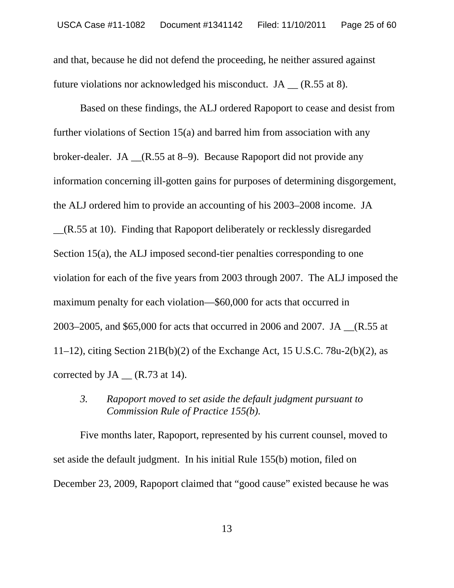and that, because he did not defend the proceeding, he neither assured against future violations nor acknowledged his misconduct. JA (R.55 at 8).

Based on these findings, the ALJ ordered Rapoport to cease and desist from further violations of Section 15(a) and barred him from association with any broker-dealer. JA \_\_(R.55 at 8–9). Because Rapoport did not provide any information concerning ill-gotten gains for purposes of determining disgorgement, the ALJ ordered him to provide an accounting of his 2003–2008 income. JA

\_\_(R.55 at 10). Finding that Rapoport deliberately or recklessly disregarded Section 15(a), the ALJ imposed second-tier penalties corresponding to one violation for each of the five years from 2003 through 2007. The ALJ imposed the maximum penalty for each violation—\$60,000 for acts that occurred in 2003–2005, and \$65,000 for acts that occurred in 2006 and 2007. JA \_\_(R.55 at 11–12), citing Section 21B(b)(2) of the Exchange Act, 15 U.S.C. 78u-2(b)(2), as corrected by  $JA$  (R.73 at 14).

*3. Rapoport moved to set aside the default judgment pursuant to Commission Rule of Practice 155(b).* 

Five months later, Rapoport, represented by his current counsel, moved to set aside the default judgment. In his initial Rule 155(b) motion, filed on December 23, 2009, Rapoport claimed that "good cause" existed because he was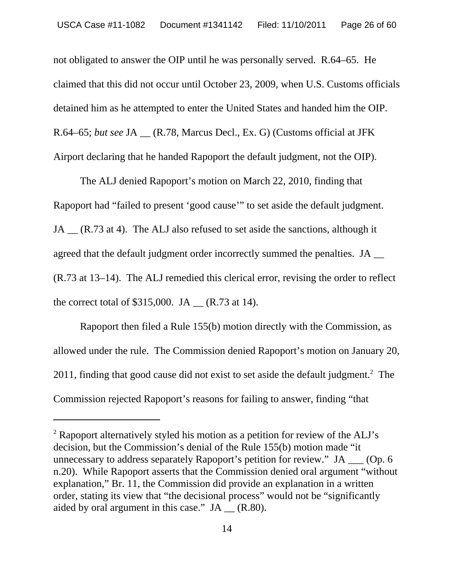not obligated to answer the OIP until he was personally served. R.64–65. He claimed that this did not occur until October 23, 2009, when U.S. Customs officials detained him as he attempted to enter the United States and handed him the OIP. R.64–65; *but see* JA \_\_ (R.78, Marcus Decl., Ex. G) (Customs official at JFK Airport declaring that he handed Rapoport the default judgment, not the OIP).

The ALJ denied Rapoport's motion on March 22, 2010, finding that Rapoport had "failed to present 'good cause'" to set aside the default judgment. JA (R.73 at 4). The ALJ also refused to set aside the sanctions, although it agreed that the default judgment order incorrectly summed the penalties. JA \_\_ (R.73 at 13–14). The ALJ remedied this clerical error, revising the order to reflect the correct total of  $$315,000$ . JA  $_{\odot}$  (R.73 at 14).

Rapoport then filed a Rule 155(b) motion directly with the Commission, as allowed under the rule. The Commission denied Rapoport's motion on January 20, 2011, finding that good cause did not exist to set aside the default judgment. $2$  The Commission rejected Rapoport's reasons for failing to answer, finding "that

<sup>&</sup>lt;sup>2</sup> Rapoport alternatively styled his motion as a petition for review of the ALJ's decision, but the Commission's denial of the Rule 155(b) motion made "it unnecessary to address separately Rapoport's petition for review." JA \_\_\_ (Op. 6 n.20). While Rapoport asserts that the Commission denied oral argument "without explanation," Br. 11, the Commission did provide an explanation in a written order, stating its view that "the decisional process" would not be "significantly aided by oral argument in this case." JA \_\_ (R.80).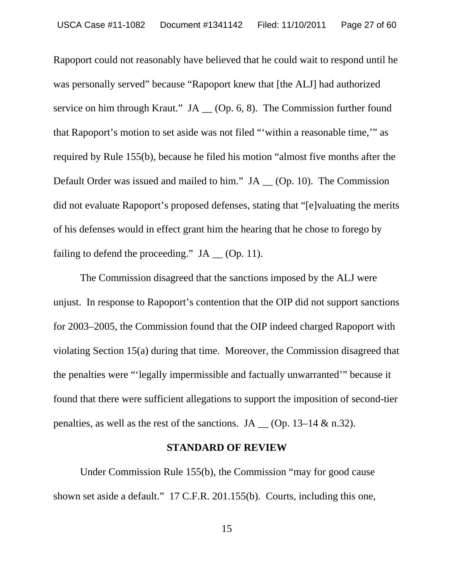Rapoport could not reasonably have believed that he could wait to respond until he was personally served" because "Rapoport knew that [the ALJ] had authorized service on him through Kraut."  $JA (Op. 6, 8)$ . The Commission further found that Rapoport's motion to set aside was not filed "'within a reasonable time,'" as required by Rule 155(b), because he filed his motion "almost five months after the Default Order was issued and mailed to him." JA \_\_ (Op. 10). The Commission did not evaluate Rapoport's proposed defenses, stating that "[e]valuating the merits of his defenses would in effect grant him the hearing that he chose to forego by failing to defend the proceeding."  $JA$  (Op. 11).

The Commission disagreed that the sanctions imposed by the ALJ were unjust. In response to Rapoport's contention that the OIP did not support sanctions for 2003–2005, the Commission found that the OIP indeed charged Rapoport with violating Section 15(a) during that time. Moreover, the Commission disagreed that the penalties were "'legally impermissible and factually unwarranted'" because it found that there were sufficient allegations to support the imposition of second-tier penalties, as well as the rest of the sanctions. JA  $\Box$  (Op. 13–14 & n.32).

#### **STANDARD OF REVIEW**

Under Commission Rule 155(b), the Commission "may for good cause shown set aside a default." 17 C.F.R. 201.155(b). Courts, including this one,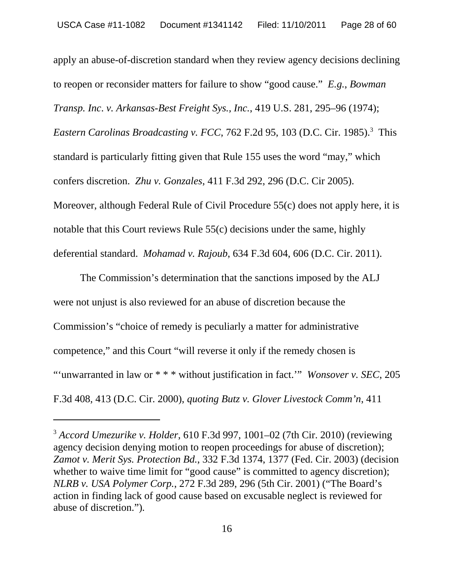apply an abuse-of-discretion standard when they review agency decisions declining to reopen or reconsider matters for failure to show "good cause." *E.g.*, *Bowman Transp. Inc*. *v. Arkansas-Best Freight Sys., Inc.*, 419 U.S. 281, 295–96 (1974); Eastern Carolinas Broadcasting v. FCC, 762 F.2d 95, 103 (D.C. Cir. 1985).<sup>3</sup> This standard is particularly fitting given that Rule 155 uses the word "may," which confers discretion. *Zhu v. Gonzales*, 411 F.3d 292, 296 (D.C. Cir 2005). Moreover, although Federal Rule of Civil Procedure 55(c) does not apply here, it is notable that this Court reviews Rule 55(c) decisions under the same, highly deferential standard. *Mohamad v. Rajoub*, 634 F.3d 604, 606 (D.C. Cir. 2011).

The Commission's determination that the sanctions imposed by the ALJ were not unjust is also reviewed for an abuse of discretion because the Commission's "choice of remedy is peculiarly a matter for administrative competence," and this Court "will reverse it only if the remedy chosen is "'unwarranted in law or \* \* \* without justification in fact.'" *Wonsover v. SEC*, 205 F.3d 408, 413 (D.C. Cir. 2000), *quoting Butz v. Glover Livestock Comm'n*, 411

<sup>3</sup>  *Accord Umezurike v. Holder*, 610 F.3d 997, 1001–02 (7th Cir. 2010) (reviewing agency decision denying motion to reopen proceedings for abuse of discretion); *Zamot v. Merit Sys. Protection Bd.*, 332 F.3d 1374, 1377 (Fed. Cir. 2003) (decision whether to waive time limit for "good cause" is committed to agency discretion); *NLRB v. USA Polymer Corp.*, 272 F.3d 289, 296 (5th Cir. 2001) ("The Board's action in finding lack of good cause based on excusable neglect is reviewed for abuse of discretion.")*.*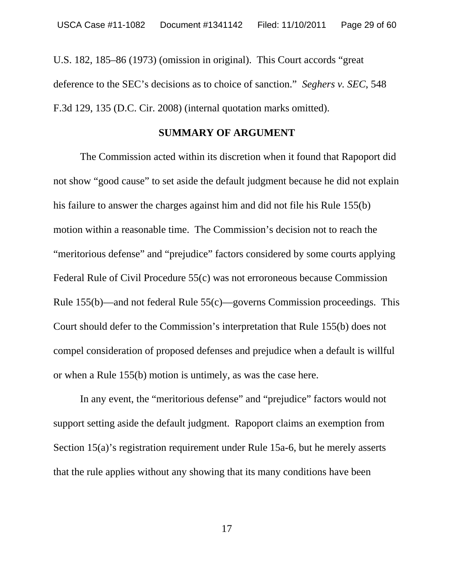U.S. 182, 185–86 (1973) (omission in original). This Court accords "great deference to the SEC's decisions as to choice of sanction." *Seghers v. SEC*, 548 F.3d 129, 135 (D.C. Cir. 2008) (internal quotation marks omitted).

#### **SUMMARY OF ARGUMENT**

The Commission acted within its discretion when it found that Rapoport did not show "good cause" to set aside the default judgment because he did not explain his failure to answer the charges against him and did not file his Rule 155(b) motion within a reasonable time. The Commission's decision not to reach the "meritorious defense" and "prejudice" factors considered by some courts applying Federal Rule of Civil Procedure 55(c) was not erroroneous because Commission Rule 155(b)—and not federal Rule 55(c)—governs Commission proceedings. This Court should defer to the Commission's interpretation that Rule 155(b) does not compel consideration of proposed defenses and prejudice when a default is willful or when a Rule 155(b) motion is untimely, as was the case here.

In any event, the "meritorious defense" and "prejudice" factors would not support setting aside the default judgment. Rapoport claims an exemption from Section 15(a)'s registration requirement under Rule 15a-6, but he merely asserts that the rule applies without any showing that its many conditions have been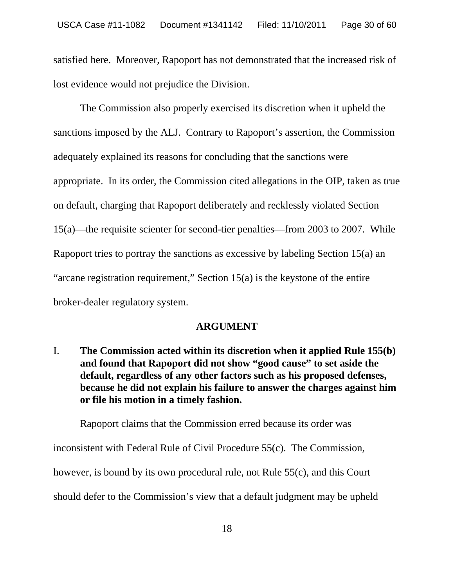satisfied here. Moreover, Rapoport has not demonstrated that the increased risk of lost evidence would not prejudice the Division.

The Commission also properly exercised its discretion when it upheld the sanctions imposed by the ALJ. Contrary to Rapoport's assertion, the Commission adequately explained its reasons for concluding that the sanctions were appropriate. In its order, the Commission cited allegations in the OIP, taken as true on default, charging that Rapoport deliberately and recklessly violated Section 15(a)—the requisite scienter for second-tier penalties—from 2003 to 2007. While Rapoport tries to portray the sanctions as excessive by labeling Section 15(a) an "arcane registration requirement," Section 15(a) is the keystone of the entire broker-dealer regulatory system.

#### **ARGUMENT**

I. **The Commission acted within its discretion when it applied Rule 155(b) and found that Rapoport did not show "good cause" to set aside the default, regardless of any other factors such as his proposed defenses, because he did not explain his failure to answer the charges against him or file his motion in a timely fashion.** 

Rapoport claims that the Commission erred because its order was inconsistent with Federal Rule of Civil Procedure 55(c). The Commission, however, is bound by its own procedural rule, not Rule 55(c), and this Court should defer to the Commission's view that a default judgment may be upheld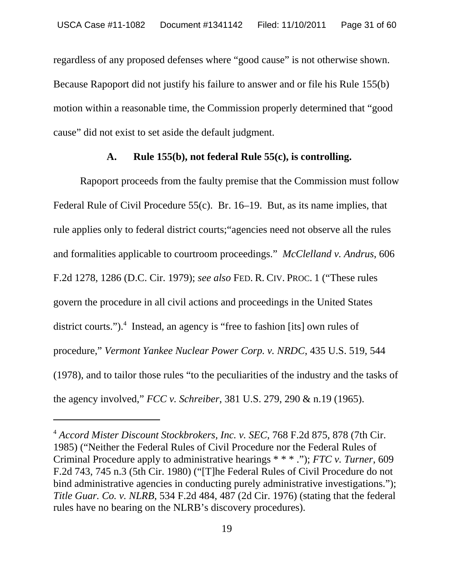regardless of any proposed defenses where "good cause" is not otherwise shown. Because Rapoport did not justify his failure to answer and or file his Rule 155(b) motion within a reasonable time, the Commission properly determined that "good cause" did not exist to set aside the default judgment.

#### **A. Rule 155(b), not federal Rule 55(c), is controlling.**

Rapoport proceeds from the faulty premise that the Commission must follow Federal Rule of Civil Procedure 55(c). Br. 16–19. But, as its name implies, that rule applies only to federal district courts;"agencies need not observe all the rules and formalities applicable to courtroom proceedings." *McClelland v. Andrus*, 606 F.2d 1278, 1286 (D.C. Cir. 1979); *see also* FED. R. CIV. PROC. 1 ("These rules govern the procedure in all civil actions and proceedings in the United States district courts.").<sup>4</sup> Instead, an agency is "free to fashion [its] own rules of procedure," *Vermont Yankee Nuclear Power Corp. v. NRDC*, 435 U.S. 519, 544 (1978), and to tailor those rules "to the peculiarities of the industry and the tasks of the agency involved," *FCC v. Schreiber*, 381 U.S. 279, 290 & n.19 (1965).

<sup>4</sup> *Accord Mister Discount Stockbrokers, Inc. v. SEC*, 768 F.2d 875, 878 (7th Cir. 1985) ("Neither the Federal Rules of Civil Procedure nor the Federal Rules of Criminal Procedure apply to administrative hearings \* \* \* ."); *FTC v. Turner*, 609 F.2d 743, 745 n.3 (5th Cir. 1980) ("[T]he Federal Rules of Civil Procedure do not bind administrative agencies in conducting purely administrative investigations."); *Title Guar. Co. v. NLRB*, 534 F.2d 484, 487 (2d Cir. 1976) (stating that the federal rules have no bearing on the NLRB's discovery procedures).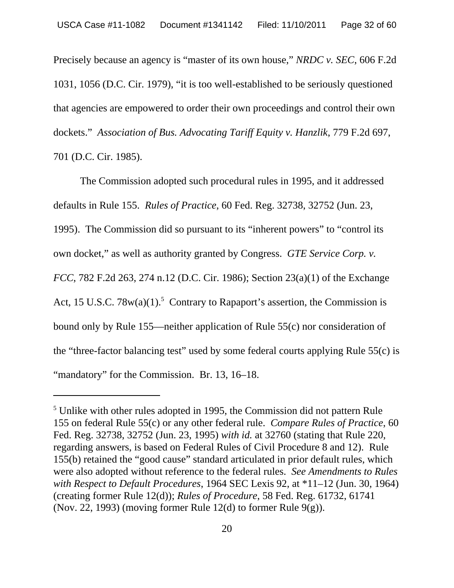Precisely because an agency is "master of its own house," *NRDC v. SEC*, 606 F.2d 1031, 1056 (D.C. Cir. 1979), "it is too well-established to be seriously questioned that agencies are empowered to order their own proceedings and control their own dockets." *Association of Bus. Advocating Tariff Equity v. Hanzlik*, 779 F.2d 697, 701 (D.C. Cir. 1985).

The Commission adopted such procedural rules in 1995, and it addressed defaults in Rule 155. *Rules of Practice*, 60 Fed. Reg. 32738, 32752 (Jun. 23, 1995). The Commission did so pursuant to its "inherent powers" to "control its own docket," as well as authority granted by Congress. *GTE Service Corp. v. FCC*, 782 F.2d 263, 274 n.12 (D.C. Cir. 1986); Section 23(a)(1) of the Exchange Act, 15 U.S.C.  $78w(a)(1)$ .<sup>5</sup> Contrary to Rapaport's assertion, the Commission is bound only by Rule 155—neither application of Rule 55(c) nor consideration of the "three-factor balancing test" used by some federal courts applying Rule 55(c) is "mandatory" for the Commission. Br. 13, 16–18.

<sup>&</sup>lt;sup>5</sup> Unlike with other rules adopted in 1995, the Commission did not pattern Rule 155 on federal Rule 55(c) or any other federal rule. *Compare Rules of Practice*, 60 Fed. Reg. 32738, 32752 (Jun. 23, 1995) *with id.* at 32760 (stating that Rule 220, regarding answers, is based on Federal Rules of Civil Procedure 8 and 12). Rule 155(b) retained the "good cause" standard articulated in prior default rules, which were also adopted without reference to the federal rules. *See Amendments to Rules with Respect to Default Procedures*, 1964 SEC Lexis 92, at \*11–12 (Jun. 30, 1964) (creating former Rule 12(d)); *Rules of Procedure*, 58 Fed. Reg. 61732, 61741 (Nov. 22, 1993) (moving former Rule 12(d) to former Rule  $9(g)$ ).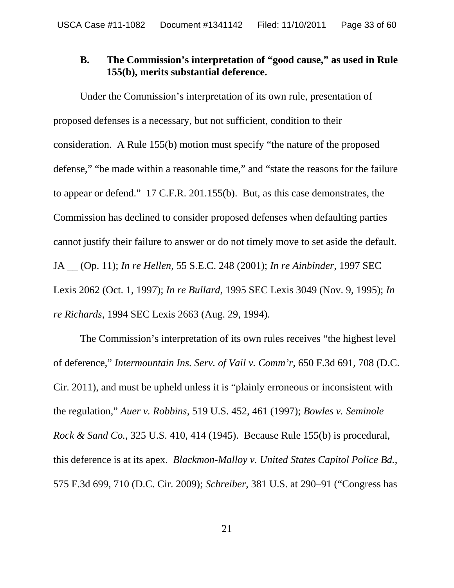### **B. The Commission's interpretation of "good cause," as used in Rule 155(b), merits substantial deference.**

Under the Commission's interpretation of its own rule, presentation of proposed defenses is a necessary, but not sufficient, condition to their consideration. A Rule 155(b) motion must specify "the nature of the proposed defense," "be made within a reasonable time," and "state the reasons for the failure to appear or defend." 17 C.F.R. 201.155(b). But, as this case demonstrates, the Commission has declined to consider proposed defenses when defaulting parties cannot justify their failure to answer or do not timely move to set aside the default. JA \_\_ (Op. 11); *In re Hellen*, 55 S.E.C. 248 (2001); *In re Ainbinder*, 1997 SEC Lexis 2062 (Oct. 1, 1997); *In re Bullard*, 1995 SEC Lexis 3049 (Nov. 9, 1995); *In re Richards*, 1994 SEC Lexis 2663 (Aug. 29, 1994).

The Commission's interpretation of its own rules receives "the highest level of deference," *Intermountain Ins. Serv. of Vail v. Comm'r*, 650 F.3d 691, 708 (D.C. Cir. 2011), and must be upheld unless it is "plainly erroneous or inconsistent with the regulation," *Auer v. Robbins*, 519 U.S. 452, 461 (1997); *Bowles v. Seminole Rock & Sand Co.*, 325 U.S. 410, 414 (1945). Because Rule 155(b) is procedural, this deference is at its apex. *Blackmon-Malloy v. United States Capitol Police Bd.*, 575 F.3d 699, 710 (D.C. Cir. 2009); *Schreiber*, 381 U.S. at 290–91 ("Congress has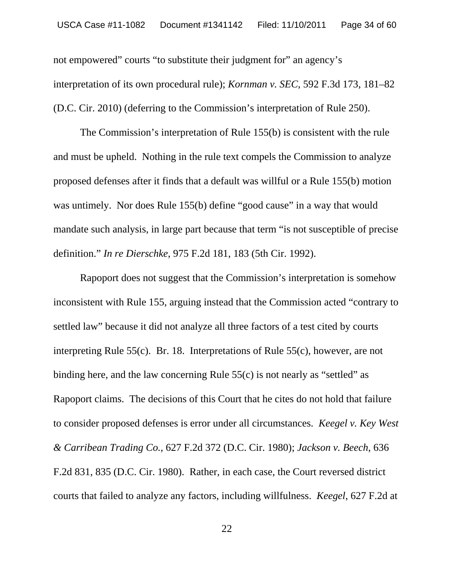not empowered" courts "to substitute their judgment for" an agency's interpretation of its own procedural rule); *Kornman v. SEC*, 592 F.3d 173, 181–82 (D.C. Cir. 2010) (deferring to the Commission's interpretation of Rule 250).

The Commission's interpretation of Rule 155(b) is consistent with the rule and must be upheld. Nothing in the rule text compels the Commission to analyze proposed defenses after it finds that a default was willful or a Rule 155(b) motion was untimely. Nor does Rule 155(b) define "good cause" in a way that would mandate such analysis, in large part because that term "is not susceptible of precise definition." *In re Dierschke*, 975 F.2d 181, 183 (5th Cir. 1992).

Rapoport does not suggest that the Commission's interpretation is somehow inconsistent with Rule 155, arguing instead that the Commission acted "contrary to settled law" because it did not analyze all three factors of a test cited by courts interpreting Rule 55(c). Br. 18. Interpretations of Rule 55(c), however, are not binding here, and the law concerning Rule  $55(c)$  is not nearly as "settled" as Rapoport claims. The decisions of this Court that he cites do not hold that failure to consider proposed defenses is error under all circumstances. *Keegel v. Key West & Carribean Trading Co.*, 627 F.2d 372 (D.C. Cir. 1980); *Jackson v. Beech*, 636 F.2d 831, 835 (D.C. Cir. 1980). Rather, in each case, the Court reversed district courts that failed to analyze any factors, including willfulness. *Keegel*, 627 F.2d at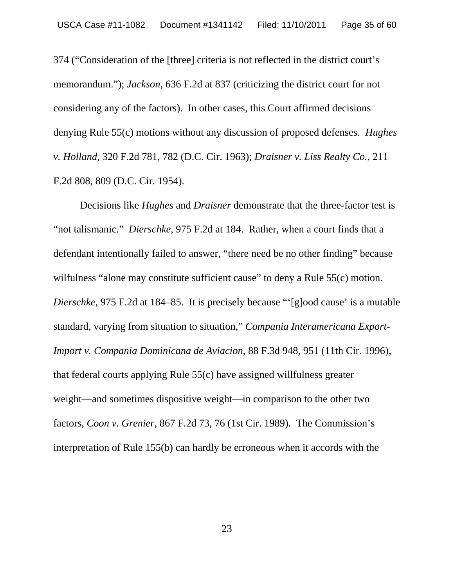374 ("Consideration of the [three] criteria is not reflected in the district court's memorandum."); *Jackson*, 636 F.2d at 837 (criticizing the district court for not considering any of the factors). In other cases, this Court affirmed decisions denying Rule 55(c) motions without any discussion of proposed defenses. *Hughes v. Holland*, 320 F.2d 781, 782 (D.C. Cir. 1963); *Draisner v. Liss Realty Co.*, 211 F.2d 808, 809 (D.C. Cir. 1954).

Decisions like *Hughes* and *Draisner* demonstrate that the three-factor test is "not talismanic." *Dierschke*, 975 F.2d at 184. Rather, when a court finds that a defendant intentionally failed to answer, "there need be no other finding" because wilfulness "alone may constitute sufficient cause" to deny a Rule 55(c) motion. *Dierschke*, 975 F.2d at 184–85. It is precisely because "'[g]ood cause' is a mutable standard, varying from situation to situation," *Compania Interamericana Export-Import v. Compania Dominicana de Aviacion*, 88 F.3d 948, 951 (11th Cir. 1996)*,* that federal courts applying Rule 55(c) have assigned willfulness greater weight—and sometimes dispositive weight—in comparison to the other two factors, *Coon v. Grenier*, 867 F.2d 73, 76 (1st Cir. 1989). The Commission's interpretation of Rule 155(b) can hardly be erroneous when it accords with the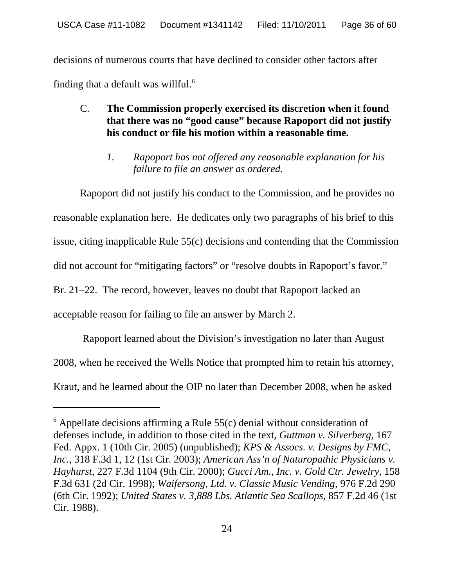decisions of numerous courts that have declined to consider other factors after finding that a default was willful.<sup>6</sup>

# C. **The Commission properly exercised its discretion when it found that there was no "good cause" because Rapoport did not justify his conduct or file his motion within a reasonable time.**

*1. Rapoport has not offered any reasonable explanation for his failure to file an answer as ordered.* 

Rapoport did not justify his conduct to the Commission, and he provides no reasonable explanation here. He dedicates only two paragraphs of his brief to this issue, citing inapplicable Rule 55(c) decisions and contending that the Commission did not account for "mitigating factors" or "resolve doubts in Rapoport's favor." Br. 21–22. The record, however, leaves no doubt that Rapoport lacked an acceptable reason for failing to file an answer by March 2.

 Rapoport learned about the Division's investigation no later than August 2008, when he received the Wells Notice that prompted him to retain his attorney, Kraut, and he learned about the OIP no later than December 2008, when he asked

 $6$  Appellate decisions affirming a Rule 55(c) denial without consideration of defenses include, in addition to those cited in the text, *Guttman v. Silverberg*, 167 Fed. Appx. 1 (10th Cir. 2005) (unpublished); *KPS & Assocs. v. Designs by FMC*, *Inc.*, 318 F.3d 1, 12 (1st Cir. 2003); *American Ass'n of Naturopathic Physicians v. Hayhurst*, 227 F.3d 1104 (9th Cir. 2000); *Gucci Am., Inc. v. Gold Ctr. Jewelry*, 158 F.3d 631 (2d Cir. 1998); *Waifersong, Ltd. v. Classic Music Vending*, 976 F.2d 290 (6th Cir. 1992); *United States v. 3,888 Lbs. Atlantic Sea Scallops*, 857 F.2d 46 (1st Cir. 1988).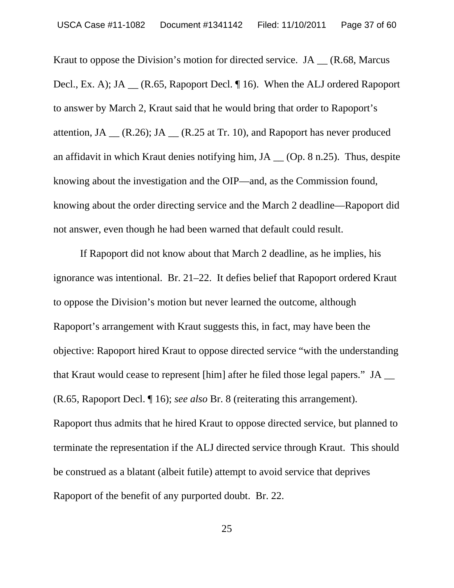Kraut to oppose the Division's motion for directed service.  $JA$   $(R.68, Marcus)$ Decl., Ex. A); JA \_\_ (R.65, Rapoport Decl. ¶ 16). When the ALJ ordered Rapoport to answer by March 2, Kraut said that he would bring that order to Rapoport's attention, JA  $_{\text{C}}$  (R.26); JA  $_{\text{C}}$  (R.25 at Tr. 10), and Rapoport has never produced an affidavit in which Kraut denies notifying him, JA \_\_ (Op. 8 n.25). Thus, despite knowing about the investigation and the OIP—and, as the Commission found, knowing about the order directing service and the March 2 deadline—Rapoport did not answer, even though he had been warned that default could result.

If Rapoport did not know about that March 2 deadline, as he implies, his ignorance was intentional. Br. 21–22. It defies belief that Rapoport ordered Kraut to oppose the Division's motion but never learned the outcome, although Rapoport's arrangement with Kraut suggests this, in fact, may have been the objective: Rapoport hired Kraut to oppose directed service "with the understanding that Kraut would cease to represent [him] after he filed those legal papers." JA \_\_ (R.65, Rapoport Decl. ¶ 16); *see also* Br. 8 (reiterating this arrangement). Rapoport thus admits that he hired Kraut to oppose directed service, but planned to terminate the representation if the ALJ directed service through Kraut. This should be construed as a blatant (albeit futile) attempt to avoid service that deprives Rapoport of the benefit of any purported doubt. Br. 22.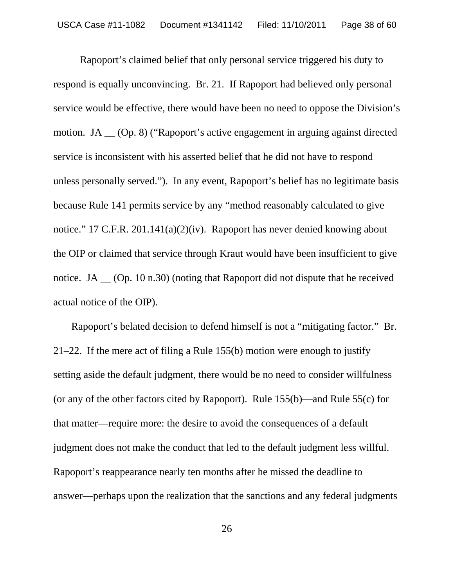Rapoport's claimed belief that only personal service triggered his duty to respond is equally unconvincing. Br. 21. If Rapoport had believed only personal service would be effective, there would have been no need to oppose the Division's motion. JA \_\_ (Op. 8) ("Rapoport's active engagement in arguing against directed service is inconsistent with his asserted belief that he did not have to respond unless personally served."). In any event, Rapoport's belief has no legitimate basis because Rule 141 permits service by any "method reasonably calculated to give notice." 17 C.F.R. 201.141(a)(2)(iv). Rapoport has never denied knowing about the OIP or claimed that service through Kraut would have been insufficient to give notice. JA \_\_ (Op. 10 n.30) (noting that Rapoport did not dispute that he received actual notice of the OIP).

 Rapoport's belated decision to defend himself is not a "mitigating factor." Br. 21–22. If the mere act of filing a Rule 155(b) motion were enough to justify setting aside the default judgment, there would be no need to consider willfulness (or any of the other factors cited by Rapoport). Rule 155(b)—and Rule 55(c) for that matter—require more: the desire to avoid the consequences of a default judgment does not make the conduct that led to the default judgment less willful. Rapoport's reappearance nearly ten months after he missed the deadline to answer—perhaps upon the realization that the sanctions and any federal judgments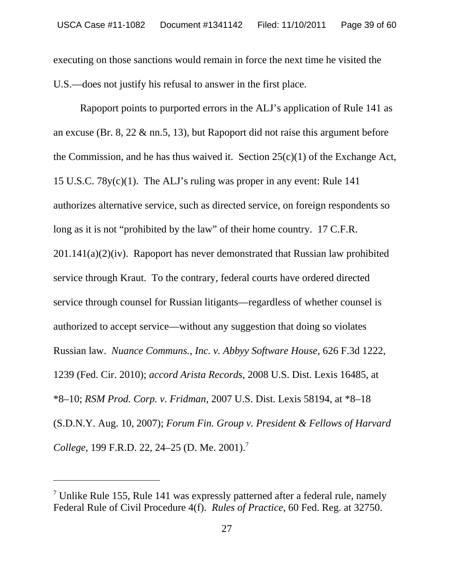executing on those sanctions would remain in force the next time he visited the U.S.—does not justify his refusal to answer in the first place.

Rapoport points to purported errors in the ALJ's application of Rule 141 as an excuse (Br. 8, 22 & nn.5, 13), but Rapoport did not raise this argument before the Commission, and he has thus waived it. Section 25(c)(1) of the Exchange Act, 15 U.S.C. 78y(c)(1). The ALJ's ruling was proper in any event: Rule 141 authorizes alternative service, such as directed service, on foreign respondents so long as it is not "prohibited by the law" of their home country. 17 C.F.R.  $201.141(a)(2)(iv)$ . Rapoport has never demonstrated that Russian law prohibited service through Kraut. To the contrary, federal courts have ordered directed service through counsel for Russian litigants—regardless of whether counsel is authorized to accept service—without any suggestion that doing so violates Russian law. *Nuance Communs., Inc. v. Abbyy Software House*, 626 F.3d 1222, 1239 (Fed. Cir. 2010); *accord Arista Records*, 2008 U.S. Dist. Lexis 16485, at \*8–10; *RSM Prod. Corp. v. Fridman*, 2007 U.S. Dist. Lexis 58194, at \*8–18 (S.D.N.Y. Aug. 10, 2007); *Forum Fin. Group v. President & Fellows of Harvard College*, 199 F.R.D. 22, 24–25 (D. Me. 2001).7

<sup>&</sup>lt;sup>7</sup> Unlike Rule 155, Rule 141 was expressly patterned after a federal rule, namely Federal Rule of Civil Procedure 4(f). *Rules of Practice*, 60 Fed. Reg. at 32750.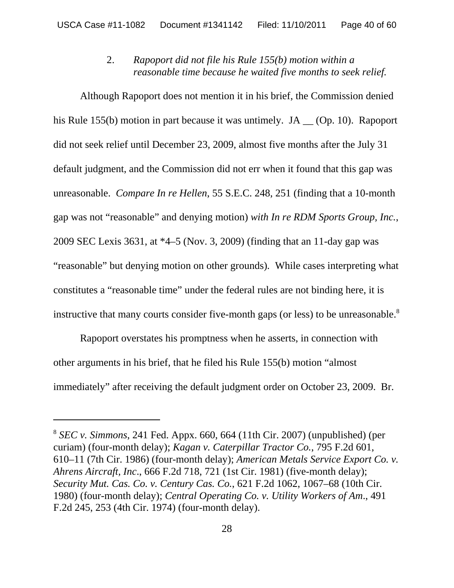# 2. *Rapoport did not file his Rule 155(b) motion within a reasonable time because he waited five months to seek relief.*

Although Rapoport does not mention it in his brief, the Commission denied his Rule 155(b) motion in part because it was untimely. JA \_\_ (Op. 10). Rapoport did not seek relief until December 23, 2009, almost five months after the July 31 default judgment, and the Commission did not err when it found that this gap was unreasonable. *Compare In re Hellen*, 55 S.E.C. 248, 251 (finding that a 10-month gap was not "reasonable" and denying motion) *with In re RDM Sports Group, Inc.*, 2009 SEC Lexis 3631, at \*4–5 (Nov. 3, 2009) (finding that an 11-day gap was "reasonable" but denying motion on other grounds)*.* While cases interpreting what constitutes a "reasonable time" under the federal rules are not binding here, it is instructive that many courts consider five-month gaps (or less) to be unreasonable.<sup>8</sup>

Rapoport overstates his promptness when he asserts, in connection with other arguments in his brief, that he filed his Rule 155(b) motion "almost immediately" after receiving the default judgment order on October 23, 2009. Br.

<sup>8</sup>  *SEC v. Simmons*, 241 Fed. Appx. 660, 664 (11th Cir. 2007) (unpublished) (per curiam) (four-month delay); *Kagan v. Caterpillar Tractor Co.*, 795 F.2d 601, 610–11 (7th Cir. 1986) (four-month delay); *American Metals Service Export Co. v. Ahrens Aircraft, Inc*., 666 F.2d 718, 721 (1st Cir. 1981) (five-month delay); *Security Mut. Cas. Co. v. Century Cas. Co.*, 621 F.2d 1062, 1067–68 (10th Cir. 1980) (four-month delay); *Central Operating Co. v. Utility Workers of Am*., 491 F.2d 245, 253 (4th Cir. 1974) (four-month delay).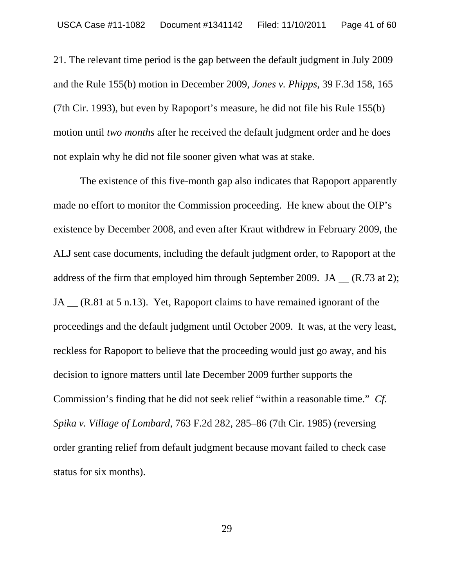21. The relevant time period is the gap between the default judgment in July 2009 and the Rule 155(b) motion in December 2009, *Jones v. Phipps*, 39 F.3d 158, 165 (7th Cir. 1993), but even by Rapoport's measure, he did not file his Rule 155(b) motion until *two months* after he received the default judgment order and he does not explain why he did not file sooner given what was at stake.

The existence of this five-month gap also indicates that Rapoport apparently made no effort to monitor the Commission proceeding. He knew about the OIP's existence by December 2008, and even after Kraut withdrew in February 2009, the ALJ sent case documents, including the default judgment order, to Rapoport at the address of the firm that employed him through September 2009. JA (R.73 at 2); JA \_\_ (R.81 at 5 n.13). Yet, Rapoport claims to have remained ignorant of the proceedings and the default judgment until October 2009. It was, at the very least, reckless for Rapoport to believe that the proceeding would just go away, and his decision to ignore matters until late December 2009 further supports the Commission's finding that he did not seek relief "within a reasonable time." *Cf. Spika v. Village of Lombard*, 763 F.2d 282, 285–86 (7th Cir. 1985) (reversing order granting relief from default judgment because movant failed to check case status for six months).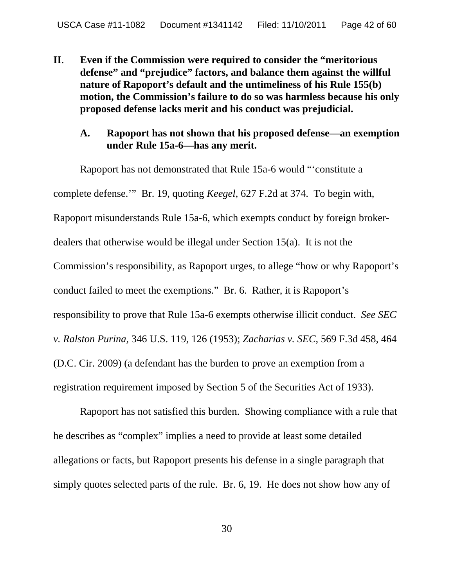**II**. **Even if the Commission were required to consider the "meritorious defense" and "prejudice" factors, and balance them against the willful nature of Rapoport's default and the untimeliness of his Rule 155(b) motion, the Commission's failure to do so was harmless because his only proposed defense lacks merit and his conduct was prejudicial.**

### **A. Rapoport has not shown that his proposed defense—an exemption under Rule 15a-6—has any merit.**

Rapoport has not demonstrated that Rule 15a-6 would "'constitute a complete defense.'" Br. 19, quoting *Keegel*, 627 F.2d at 374. To begin with, Rapoport misunderstands Rule 15a-6, which exempts conduct by foreign brokerdealers that otherwise would be illegal under Section 15(a). It is not the Commission's responsibility, as Rapoport urges, to allege "how or why Rapoport's conduct failed to meet the exemptions." Br. 6. Rather, it is Rapoport's responsibility to prove that Rule 15a-6 exempts otherwise illicit conduct. *See SEC v. Ralston Purina*, 346 U.S. 119, 126 (1953); *Zacharias v. SEC*, 569 F.3d 458, 464 (D.C. Cir. 2009) (a defendant has the burden to prove an exemption from a registration requirement imposed by Section 5 of the Securities Act of 1933).

Rapoport has not satisfied this burden. Showing compliance with a rule that he describes as "complex" implies a need to provide at least some detailed allegations or facts, but Rapoport presents his defense in a single paragraph that simply quotes selected parts of the rule. Br. 6, 19. He does not show how any of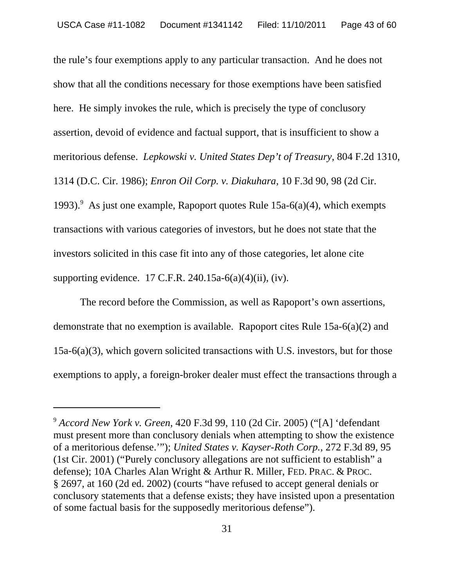the rule's four exemptions apply to any particular transaction. And he does not show that all the conditions necessary for those exemptions have been satisfied here. He simply invokes the rule, which is precisely the type of conclusory assertion, devoid of evidence and factual support, that is insufficient to show a meritorious defense. *Lepkowski v. United States Dep't of Treasury*, 804 F.2d 1310, 1314 (D.C. Cir. 1986); *Enron Oil Corp. v. Diakuhara*, 10 F.3d 90, 98 (2d Cir. 1993).<sup>9</sup> As just one example, Rapoport quotes Rule 15a-6(a)(4), which exempts transactions with various categories of investors, but he does not state that the investors solicited in this case fit into any of those categories, let alone cite supporting evidence. 17 C.F.R. 240.15a-6(a)(4)(ii), (iv).

The record before the Commission, as well as Rapoport's own assertions, demonstrate that no exemption is available. Rapoport cites Rule 15a-6(a)(2) and 15a-6(a)(3), which govern solicited transactions with U.S. investors, but for those exemptions to apply, a foreign-broker dealer must effect the transactions through a

<sup>9</sup> *Accord New York v. Green*, 420 F.3d 99, 110 (2d Cir. 2005) ("[A] 'defendant must present more than conclusory denials when attempting to show the existence of a meritorious defense.'"); *United States v. Kayser-Roth Corp.*, 272 F.3d 89, 95 (1st Cir. 2001) ("Purely conclusory allegations are not sufficient to establish" a defense); 10A Charles Alan Wright & Arthur R. Miller, FED. PRAC. & PROC. § 2697, at 160 (2d ed. 2002) (courts "have refused to accept general denials or conclusory statements that a defense exists; they have insisted upon a presentation of some factual basis for the supposedly meritorious defense").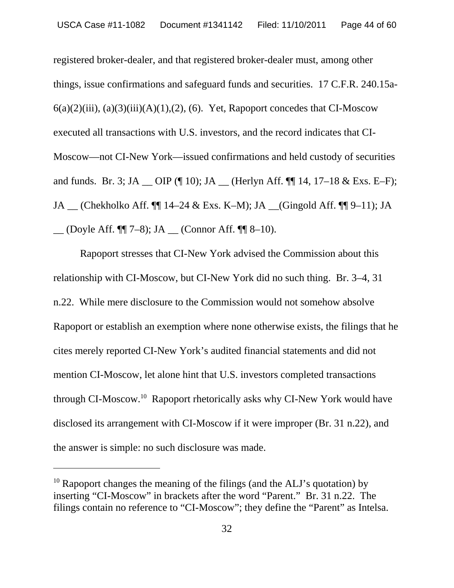registered broker-dealer, and that registered broker-dealer must, among other things, issue confirmations and safeguard funds and securities. 17 C.F.R. 240.15a- $6(a)(2)(iii)$ ,  $(a)(3)(iii)(A)(1)$ ,  $(2)$ ,  $(6)$ . Yet, Rapoport concedes that CI-Moscow executed all transactions with U.S. investors, and the record indicates that CI-Moscow—not CI-New York—issued confirmations and held custody of securities and funds. Br. 3; JA  $\_\$  OIP (¶ 10); JA  $\_\$  (Herlyn Aff. ¶ 14, 17–18 & Exs. E–F); JA \_\_ (Chekholko Aff. ¶¶ 14–24 & Exs. K–M); JA \_\_(Gingold Aff. ¶¶ 9–11); JA  $\Box$  (Doyle Aff. ¶¶ 7–8); JA  $\Box$  (Connor Aff. ¶¶ 8–10).

Rapoport stresses that CI-New York advised the Commission about this relationship with CI-Moscow, but CI-New York did no such thing. Br. 3–4, 31 n.22. While mere disclosure to the Commission would not somehow absolve Rapoport or establish an exemption where none otherwise exists, the filings that he cites merely reported CI-New York's audited financial statements and did not mention CI-Moscow, let alone hint that U.S. investors completed transactions through CI-Moscow.10 Rapoport rhetorically asks why CI-New York would have disclosed its arrangement with CI-Moscow if it were improper (Br. 31 n.22), and the answer is simple: no such disclosure was made.

<sup>&</sup>lt;sup>10</sup> Rapoport changes the meaning of the filings (and the ALJ's quotation) by inserting "CI-Moscow" in brackets after the word "Parent." Br. 31 n.22. The filings contain no reference to "CI-Moscow"; they define the "Parent" as Intelsa.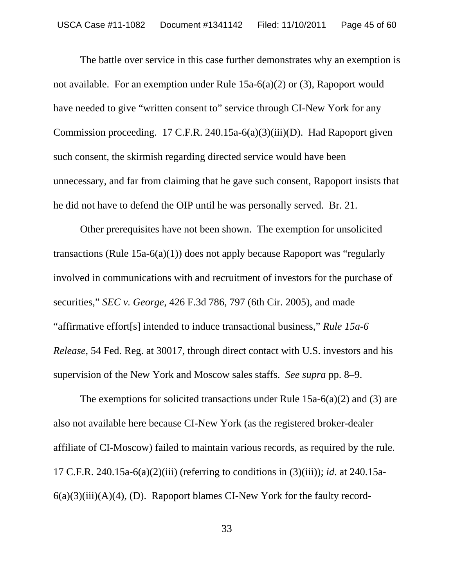The battle over service in this case further demonstrates why an exemption is not available. For an exemption under Rule 15a-6(a)(2) or (3), Rapoport would have needed to give "written consent to" service through CI-New York for any Commission proceeding. 17 C.F.R. 240.15a-6(a)(3)(iii)(D). Had Rapoport given such consent, the skirmish regarding directed service would have been unnecessary, and far from claiming that he gave such consent, Rapoport insists that he did not have to defend the OIP until he was personally served. Br. 21.

Other prerequisites have not been shown. The exemption for unsolicited transactions (Rule 15a-6(a)(1)) does not apply because Rapoport was "regularly involved in communications with and recruitment of investors for the purchase of securities," *SEC v. George*, 426 F.3d 786, 797 (6th Cir. 2005), and made "affirmative effort[s] intended to induce transactional business," *Rule 15a-6 Release*, 54 Fed. Reg. at 30017, through direct contact with U.S. investors and his supervision of the New York and Moscow sales staffs. *See supra* pp. 8–9.

The exemptions for solicited transactions under Rule 15a-6(a)(2) and (3) are also not available here because CI-New York (as the registered broker-dealer affiliate of CI-Moscow) failed to maintain various records, as required by the rule. 17 C.F.R. 240.15a-6(a)(2)(iii) (referring to conditions in (3)(iii)); *id*. at 240.15a- $6(a)(3)(iii)(A)(4)$ , (D). Rapoport blames CI-New York for the faulty record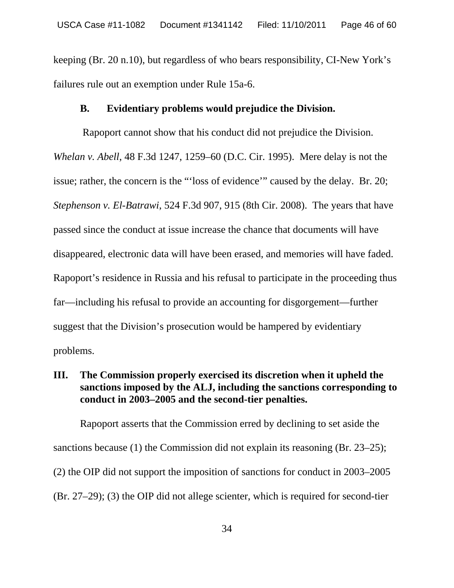keeping (Br. 20 n.10), but regardless of who bears responsibility, CI-New York's failures rule out an exemption under Rule 15a-6.

#### **B. Evidentiary problems would prejudice the Division.**

 Rapoport cannot show that his conduct did not prejudice the Division. *Whelan v. Abell*, 48 F.3d 1247, 1259–60 (D.C. Cir. 1995). Mere delay is not the issue; rather, the concern is the "'loss of evidence'" caused by the delay. Br. 20; *Stephenson v. El-Batrawi*, 524 F.3d 907, 915 (8th Cir. 2008). The years that have passed since the conduct at issue increase the chance that documents will have disappeared, electronic data will have been erased, and memories will have faded. Rapoport's residence in Russia and his refusal to participate in the proceeding thus far—including his refusal to provide an accounting for disgorgement—further suggest that the Division's prosecution would be hampered by evidentiary problems.

# **III. The Commission properly exercised its discretion when it upheld the sanctions imposed by the ALJ, including the sanctions corresponding to conduct in 2003–2005 and the second-tier penalties.**

Rapoport asserts that the Commission erred by declining to set aside the sanctions because (1) the Commission did not explain its reasoning (Br. 23–25); (2) the OIP did not support the imposition of sanctions for conduct in 2003–2005 (Br. 27–29); (3) the OIP did not allege scienter, which is required for second-tier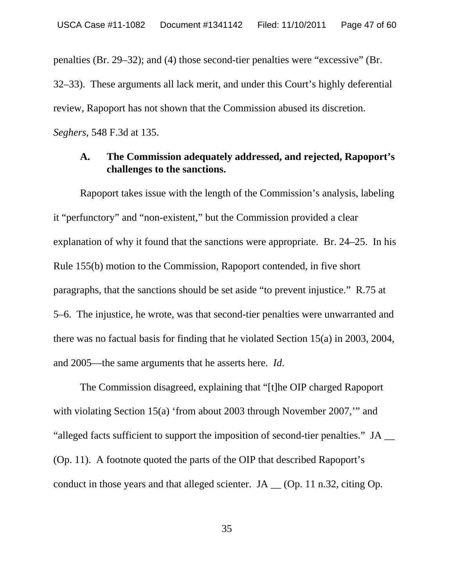penalties (Br. 29–32); and (4) those second-tier penalties were "excessive" (Br.

32–33). These arguments all lack merit, and under this Court's highly deferential review, Rapoport has not shown that the Commission abused its discretion. *Seghers,* 548 F.3d at 135.

### **A. The Commission adequately addressed, and rejected, Rapoport's challenges to the sanctions.**

Rapoport takes issue with the length of the Commission's analysis, labeling it "perfunctory" and "non-existent," but the Commission provided a clear explanation of why it found that the sanctions were appropriate. Br. 24–25. In his Rule 155(b) motion to the Commission, Rapoport contended, in five short paragraphs, that the sanctions should be set aside "to prevent injustice." R.75 at 5–6. The injustice, he wrote, was that second-tier penalties were unwarranted and there was no factual basis for finding that he violated Section 15(a) in 2003, 2004, and 2005—the same arguments that he asserts here. *Id*.

The Commission disagreed, explaining that "[t]he OIP charged Rapoport with violating Section 15(a) 'from about 2003 through November 2007,'" and "alleged facts sufficient to support the imposition of second-tier penalties." JA \_\_ (Op. 11). A footnote quoted the parts of the OIP that described Rapoport's conduct in those years and that alleged scienter. JA \_\_ (Op. 11 n.32, citing Op.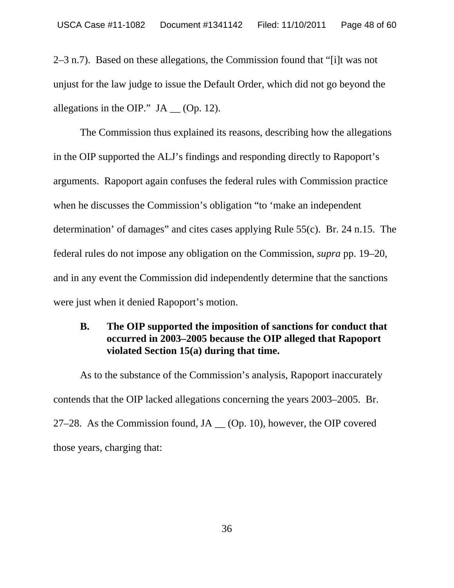2–3 n.7). Based on these allegations, the Commission found that "[i]t was not unjust for the law judge to issue the Default Order, which did not go beyond the allegations in the OIP."  $JA$  (Op. 12).

The Commission thus explained its reasons, describing how the allegations in the OIP supported the ALJ's findings and responding directly to Rapoport's arguments. Rapoport again confuses the federal rules with Commission practice when he discusses the Commission's obligation "to 'make an independent determination' of damages" and cites cases applying Rule 55(c). Br. 24 n.15. The federal rules do not impose any obligation on the Commission, *supra* pp. 19–20, and in any event the Commission did independently determine that the sanctions were just when it denied Rapoport's motion.

# **B. The OIP supported the imposition of sanctions for conduct that occurred in 2003–2005 because the OIP alleged that Rapoport violated Section 15(a) during that time.**

As to the substance of the Commission's analysis, Rapoport inaccurately contends that the OIP lacked allegations concerning the years 2003–2005. Br. 27–28. As the Commission found,  $JA (Op. 10)$ , however, the OIP covered those years, charging that: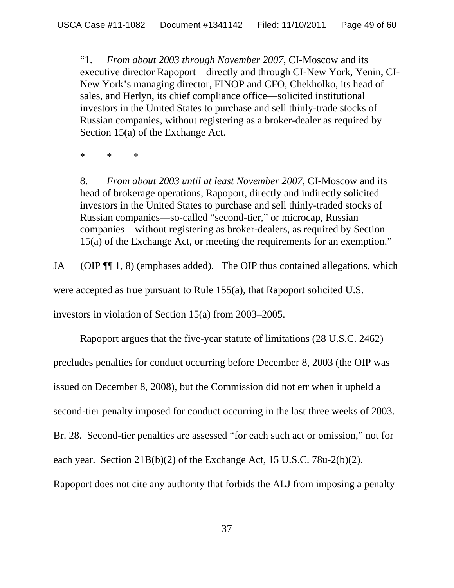"1. *From about 2003 through November 2007*, CI-Moscow and its executive director Rapoport—directly and through CI-New York, Yenin, CI-New York's managing director, FINOP and CFO, Chekholko, its head of sales, and Herlyn, its chief compliance office—solicited institutional investors in the United States to purchase and sell thinly-trade stocks of Russian companies, without registering as a broker-dealer as required by Section 15(a) of the Exchange Act.

\* \* \*

8. *From about 2003 until at least November 2007*, CI-Moscow and its head of brokerage operations, Rapoport, directly and indirectly solicited investors in the United States to purchase and sell thinly-traded stocks of Russian companies—so-called "second-tier," or microcap, Russian companies—without registering as broker-dealers, as required by Section 15(a) of the Exchange Act, or meeting the requirements for an exemption."

JA \_\_ (OIP  $\P$  1, 8) (emphases added). The OIP thus contained allegations, which were accepted as true pursuant to Rule 155(a), that Rapoport solicited U.S. investors in violation of Section 15(a) from 2003–2005.

Rapoport argues that the five-year statute of limitations (28 U.S.C. 2462) precludes penalties for conduct occurring before December 8, 2003 (the OIP was issued on December 8, 2008), but the Commission did not err when it upheld a second-tier penalty imposed for conduct occurring in the last three weeks of 2003. Br. 28. Second-tier penalties are assessed "for each such act or omission," not for each year. Section 21B(b)(2) of the Exchange Act, 15 U.S.C. 78u-2(b)(2). Rapoport does not cite any authority that forbids the ALJ from imposing a penalty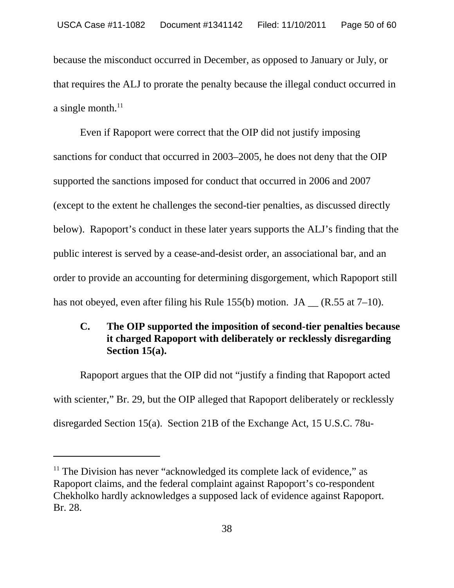because the misconduct occurred in December, as opposed to January or July, or that requires the ALJ to prorate the penalty because the illegal conduct occurred in a single month. $^{11}$ 

Even if Rapoport were correct that the OIP did not justify imposing sanctions for conduct that occurred in 2003–2005, he does not deny that the OIP supported the sanctions imposed for conduct that occurred in 2006 and 2007 (except to the extent he challenges the second-tier penalties, as discussed directly below). Rapoport's conduct in these later years supports the ALJ's finding that the public interest is served by a cease-and-desist order, an associational bar, and an order to provide an accounting for determining disgorgement, which Rapoport still has not obeyed, even after filing his Rule 155(b) motion. JA  $_{\text{A}}$  (R.55 at 7–10).

# **C. The OIP supported the imposition of second-tier penalties because it charged Rapoport with deliberately or recklessly disregarding Section 15(a).**

Rapoport argues that the OIP did not "justify a finding that Rapoport acted with scienter," Br. 29, but the OIP alleged that Rapoport deliberately or recklessly disregarded Section 15(a). Section 21B of the Exchange Act, 15 U.S.C. 78u-

 $11$  The Division has never "acknowledged its complete lack of evidence," as Rapoport claims, and the federal complaint against Rapoport's co-respondent Chekholko hardly acknowledges a supposed lack of evidence against Rapoport. Br. 28.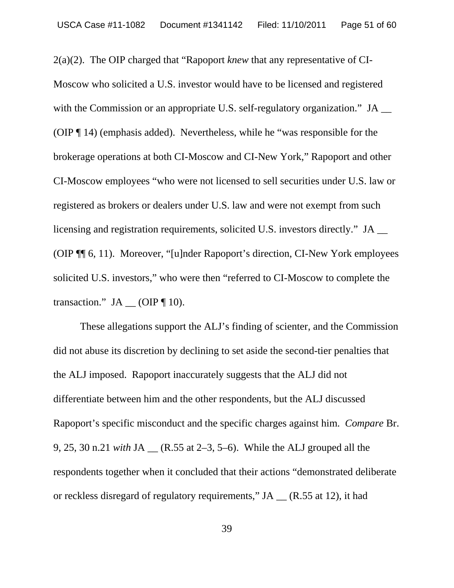2(a)(2). The OIP charged that "Rapoport *knew* that any representative of CI-Moscow who solicited a U.S. investor would have to be licensed and registered with the Commission or an appropriate U.S. self-regulatory organization." JA (OIP ¶ 14) (emphasis added). Nevertheless, while he "was responsible for the brokerage operations at both CI-Moscow and CI-New York," Rapoport and other CI-Moscow employees "who were not licensed to sell securities under U.S. law or registered as brokers or dealers under U.S. law and were not exempt from such licensing and registration requirements, solicited U.S. investors directly." JA \_\_ (OIP ¶¶ 6, 11). Moreover, "[u]nder Rapoport's direction, CI-New York employees solicited U.S. investors," who were then "referred to CI-Moscow to complete the transaction."  $JA$  (OIP ¶ 10).

These allegations support the ALJ's finding of scienter, and the Commission did not abuse its discretion by declining to set aside the second-tier penalties that the ALJ imposed. Rapoport inaccurately suggests that the ALJ did not differentiate between him and the other respondents, but the ALJ discussed Rapoport's specific misconduct and the specific charges against him. *Compare* Br. 9, 25, 30 n.21 *with* JA \_\_ (R.55 at 2–3, 5–6). While the ALJ grouped all the respondents together when it concluded that their actions "demonstrated deliberate or reckless disregard of regulatory requirements," JA \_\_ (R.55 at 12), it had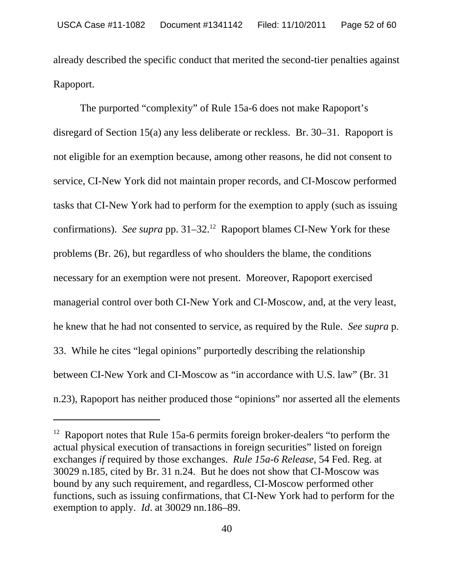already described the specific conduct that merited the second-tier penalties against Rapoport.

The purported "complexity" of Rule 15a-6 does not make Rapoport's disregard of Section 15(a) any less deliberate or reckless. Br. 30–31. Rapoport is not eligible for an exemption because, among other reasons, he did not consent to service, CI-New York did not maintain proper records, and CI-Moscow performed tasks that CI-New York had to perform for the exemption to apply (such as issuing confirmations). *See supra* pp. 31–32.12 Rapoport blames CI-New York for these problems (Br. 26), but regardless of who shoulders the blame, the conditions necessary for an exemption were not present. Moreover, Rapoport exercised managerial control over both CI-New York and CI-Moscow, and, at the very least, he knew that he had not consented to service, as required by the Rule. *See supra* p. 33. While he cites "legal opinions" purportedly describing the relationship between CI-New York and CI-Moscow as "in accordance with U.S. law" (Br. 31 n.23), Rapoport has neither produced those "opinions" nor asserted all the elements

 $12$  Rapoport notes that Rule 15a-6 permits foreign broker-dealers "to perform the actual physical execution of transactions in foreign securities" listed on foreign exchanges *if* required by those exchanges. *Rule 15a-6 Release*, 54 Fed. Reg. at 30029 n.185, cited by Br. 31 n.24. But he does not show that CI-Moscow was bound by any such requirement, and regardless, CI-Moscow performed other functions, such as issuing confirmations, that CI-New York had to perform for the exemption to apply. *Id*. at 30029 nn.186–89.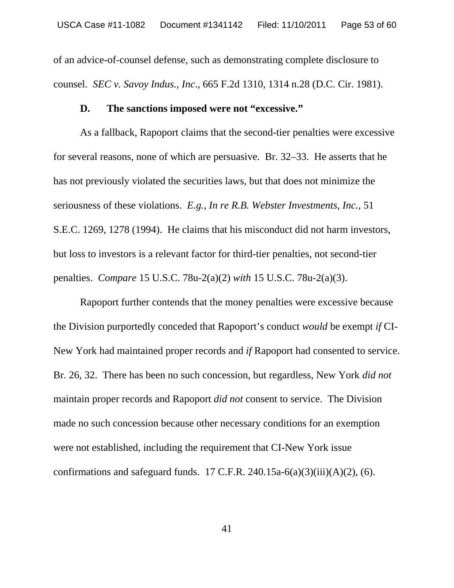of an advice-of-counsel defense, such as demonstrating complete disclosure to counsel. *SEC v. Savoy Indus.*, *Inc*., 665 F.2d 1310, 1314 n.28 (D.C. Cir. 1981).

#### **D. The sanctions imposed were not "excessive."**

As a fallback, Rapoport claims that the second-tier penalties were excessive for several reasons, none of which are persuasive. Br. 32–33. He asserts that he has not previously violated the securities laws, but that does not minimize the seriousness of these violations. *E.g.*, *In re R.B. Webster Investments, Inc.*, 51 S.E.C. 1269, 1278 (1994). He claims that his misconduct did not harm investors, but loss to investors is a relevant factor for third-tier penalties, not second-tier penalties. *Compare* 15 U.S.C. 78u-2(a)(2) *with* 15 U.S.C. 78u-2(a)(3).

Rapoport further contends that the money penalties were excessive because the Division purportedly conceded that Rapoport's conduct *would* be exempt *if* CI-New York had maintained proper records and *if* Rapoport had consented to service. Br. 26, 32. There has been no such concession, but regardless, New York *did not* maintain proper records and Rapoport *did not* consent to service. The Division made no such concession because other necessary conditions for an exemption were not established, including the requirement that CI-New York issue confirmations and safeguard funds. 17 C.F.R. 240.15a-6(a)(3)(iii)(A)(2), (6).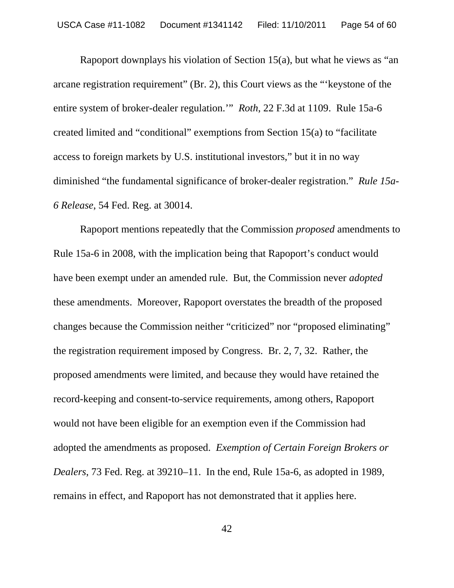Rapoport downplays his violation of Section 15(a), but what he views as "an arcane registration requirement" (Br. 2), this Court views as the "'keystone of the entire system of broker-dealer regulation.'" *Roth*, 22 F.3d at 1109. Rule 15a-6 created limited and "conditional" exemptions from Section 15(a) to "facilitate access to foreign markets by U.S. institutional investors," but it in no way diminished "the fundamental significance of broker-dealer registration." *Rule 15a-6 Release*, 54 Fed. Reg. at 30014.

Rapoport mentions repeatedly that the Commission *proposed* amendments to Rule 15a-6 in 2008, with the implication being that Rapoport's conduct would have been exempt under an amended rule. But, the Commission never *adopted* these amendments. Moreover, Rapoport overstates the breadth of the proposed changes because the Commission neither "criticized" nor "proposed eliminating" the registration requirement imposed by Congress. Br. 2, 7, 32. Rather, the proposed amendments were limited, and because they would have retained the record-keeping and consent-to-service requirements, among others, Rapoport would not have been eligible for an exemption even if the Commission had adopted the amendments as proposed. *Exemption of Certain Foreign Brokers or Dealers*, 73 Fed. Reg. at 39210–11. In the end, Rule 15a-6, as adopted in 1989, remains in effect, and Rapoport has not demonstrated that it applies here.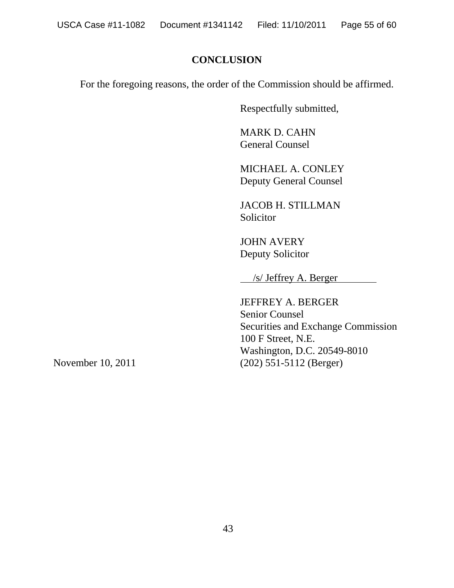# **CONCLUSION**

For the foregoing reasons, the order of the Commission should be affirmed.

Respectfully submitted,

MARK D. CAHN General Counsel

MICHAEL A. CONLEY Deputy General Counsel

JACOB H. STILLMAN Solicitor

JOHN AVERY Deputy Solicitor

/s/ Jeffrey A. Berger

JEFFREY A. BERGER Senior Counsel Securities and Exchange Commission 100 F Street, N.E. Washington, D.C. 20549-8010 November 10, 2011 (202) 551-5112 (Berger)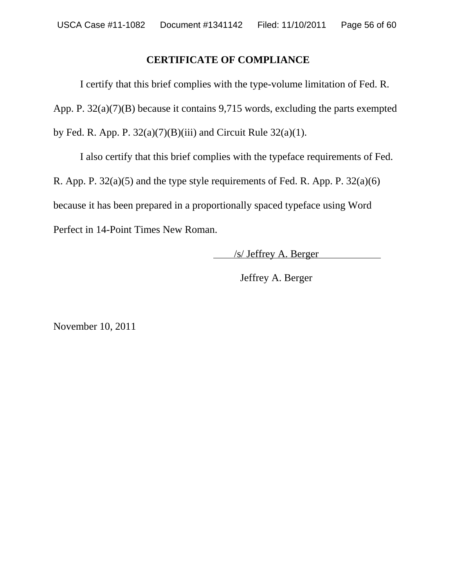### **CERTIFICATE OF COMPLIANCE**

I certify that this brief complies with the type-volume limitation of Fed. R. App. P. 32(a)(7)(B) because it contains 9,715 words, excluding the parts exempted by Fed. R. App. P.  $32(a)(7)(B)(iii)$  and Circuit Rule  $32(a)(1)$ .

I also certify that this brief complies with the typeface requirements of Fed.

R. App. P.  $32(a)(5)$  and the type style requirements of Fed. R. App. P.  $32(a)(6)$ 

because it has been prepared in a proportionally spaced typeface using Word

Perfect in 14-Point Times New Roman.

/s/ Jeffrey A. Berger

Jeffrey A. Berger

November 10, 2011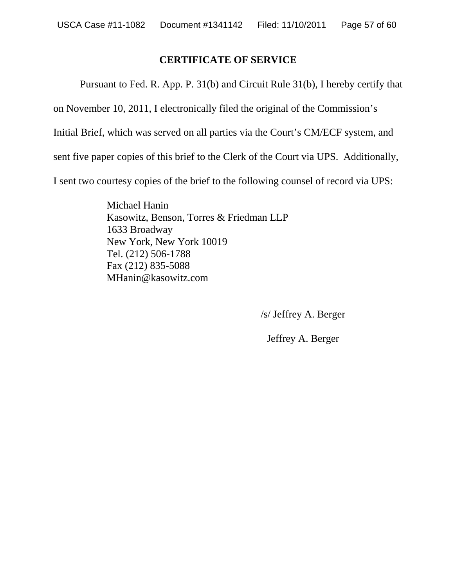### **CERTIFICATE OF SERVICE**

Pursuant to Fed. R. App. P. 31(b) and Circuit Rule 31(b), I hereby certify that

on November 10, 2011, I electronically filed the original of the Commission's

Initial Brief, which was served on all parties via the Court's CM/ECF system, and

sent five paper copies of this brief to the Clerk of the Court via UPS. Additionally,

I sent two courtesy copies of the brief to the following counsel of record via UPS:

Michael Hanin Kasowitz, Benson, Torres & Friedman LLP 1633 Broadway New York, New York 10019 Tel. (212) 506-1788 Fax (212) 835-5088 MHanin@kasowitz.com

/s/ Jeffrey A. Berger

Jeffrey A. Berger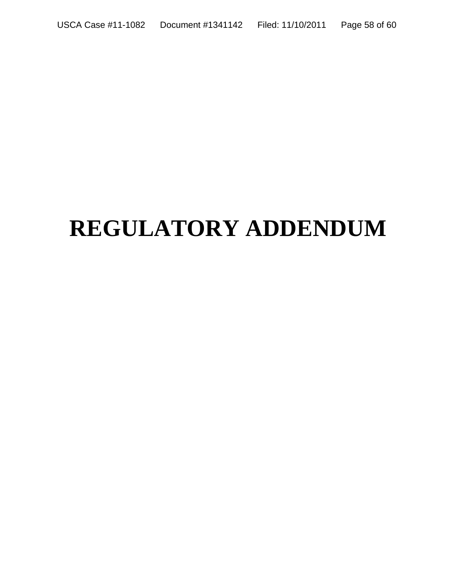# **REGULATORY ADDENDUM**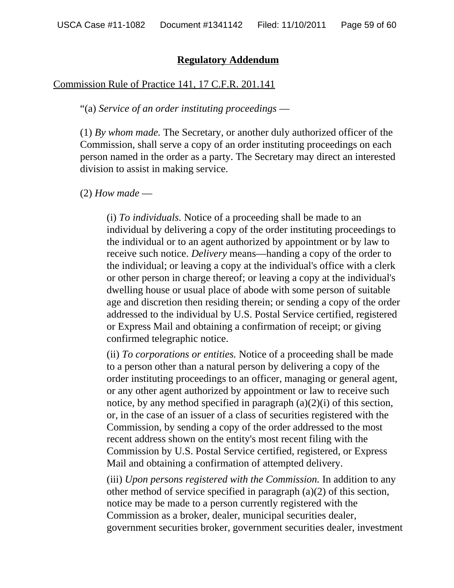#### **Regulatory Addendum**

#### Commission Rule of Practice 141, 17 C.F.R. 201.141

#### "(a) *Service of an order instituting proceedings* —

(1) *By whom made.* The Secretary, or another duly authorized officer of the Commission, shall serve a copy of an order instituting proceedings on each person named in the order as a party. The Secretary may direct an interested division to assist in making service.

#### (2) *How made* —

(i) *To individuals.* Notice of a proceeding shall be made to an individual by delivering a copy of the order instituting proceedings to the individual or to an agent authorized by appointment or by law to receive such notice. *Delivery* means—handing a copy of the order to the individual; or leaving a copy at the individual's office with a clerk or other person in charge thereof; or leaving a copy at the individual's dwelling house or usual place of abode with some person of suitable age and discretion then residing therein; or sending a copy of the order addressed to the individual by U.S. Postal Service certified, registered or Express Mail and obtaining a confirmation of receipt; or giving confirmed telegraphic notice.

(ii) *To corporations or entities.* Notice of a proceeding shall be made to a person other than a natural person by delivering a copy of the order instituting proceedings to an officer, managing or general agent, or any other agent authorized by appointment or law to receive such notice, by any method specified in paragraph  $(a)(2)(i)$  of this section, or, in the case of an issuer of a class of securities registered with the Commission, by sending a copy of the order addressed to the most recent address shown on the entity's most recent filing with the Commission by U.S. Postal Service certified, registered, or Express Mail and obtaining a confirmation of attempted delivery.

(iii) *Upon persons registered with the Commission.* In addition to any other method of service specified in paragraph (a)(2) of this section, notice may be made to a person currently registered with the Commission as a broker, dealer, municipal securities dealer, government securities broker, government securities dealer, investment